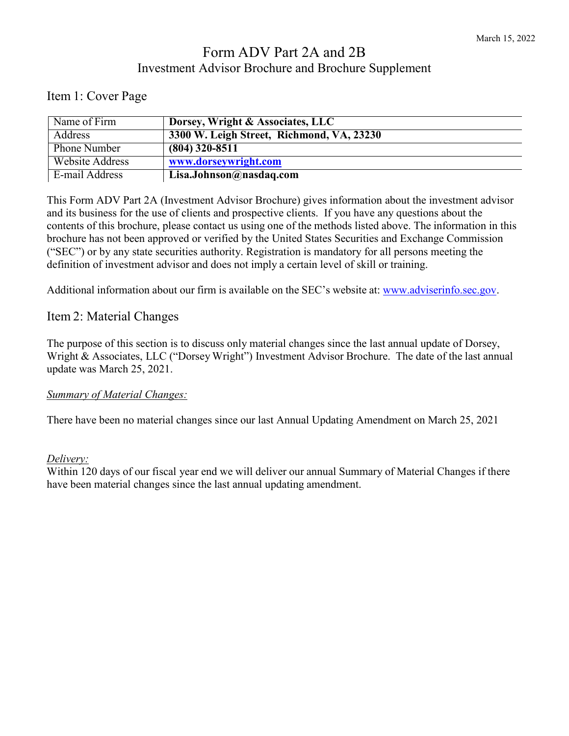# Form ADV Part 2A and 2B Investment Advisor Brochure and Brochure Supplement

## <span id="page-0-0"></span>Item 1: Cover Page

| Name of Firm        | Dorsey, Wright & Associates, LLC          |
|---------------------|-------------------------------------------|
| Address             | 3300 W. Leigh Street, Richmond, VA, 23230 |
| <b>Phone Number</b> | $(804)$ 320-8511                          |
| Website Address     | www.dorseywright.com                      |
| E-mail Address      | Lisa.Johnson@nasdaq.com                   |

This Form ADV Part 2A (Investment Advisor Brochure) gives information about the investment advisor and its business for the use of clients and prospective clients. If you have any questions about the contents of this brochure, please contact us using one of the methods listed above. The information in this brochure has not been approved or verified by the United States Securities and Exchange Commission ("SEC") or by any state securities authority. Registration is mandatory for all persons meeting the definition of investment advisor and does not imply a certain level of skill or training.

Additional information about our firm is available on the SEC's website at: [www.adviserinfo.sec.gov.](http://www.adviserinfo.sec.gov/)

#### <span id="page-0-1"></span>Item 2: Material Changes

The purpose of this section is to discuss only material changes since the last annual update of Dorsey, Wright & Associates, LLC ("Dorsey Wright") Investment Advisor Brochure. The date of the last annual update was March 25, 2021.

#### *Summary of Material Changes:*

There have been no material changes since our last Annual Updating Amendment on March 25, 2021

#### *Delivery:*

Within 120 days of our fiscal year end we will deliver our annual Summary of Material Changes if there have been material changes since the last annual updating amendment.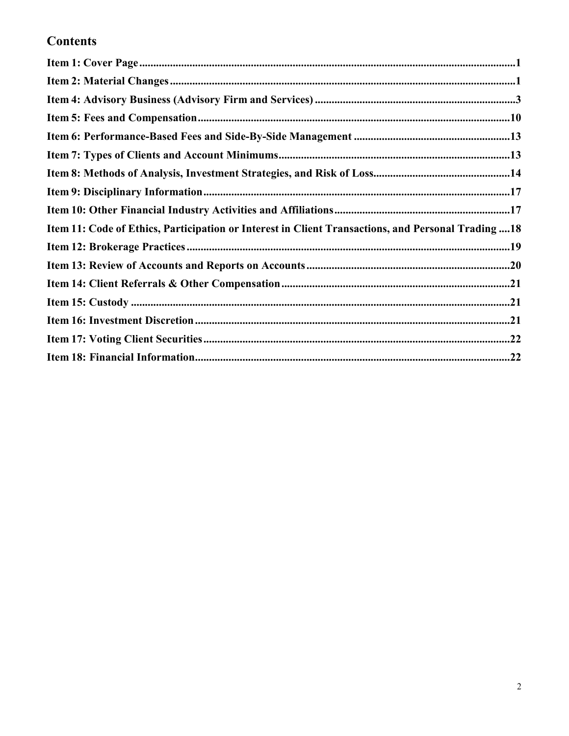# **Contents**

| Item 11: Code of Ethics, Participation or Interest in Client Transactions, and Personal Trading18 |  |
|---------------------------------------------------------------------------------------------------|--|
|                                                                                                   |  |
|                                                                                                   |  |
|                                                                                                   |  |
|                                                                                                   |  |
|                                                                                                   |  |
|                                                                                                   |  |
|                                                                                                   |  |
|                                                                                                   |  |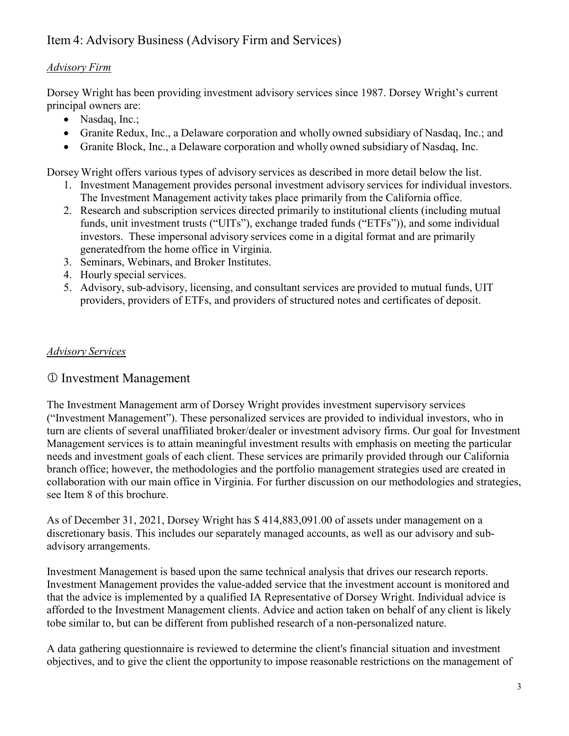# <span id="page-2-0"></span>Item 4: Advisory Business (Advisory Firm and Services)

#### *Advisory Firm*

Dorsey Wright has been providing investment advisory services since 1987. Dorsey Wright's current principal owners are:

- Nasdaq, Inc.;
- Granite Redux, Inc., a Delaware corporation and wholly owned subsidiary of Nasdaq, Inc.; and
- Granite Block, Inc., a Delaware corporation and wholly owned subsidiary of Nasdaq, Inc.

Dorsey Wright offers various types of advisory services as described in more detail below the list.

- 1. Investment Management provides personal investment advisory services for individual investors. The Investment Management activity takes place primarily from the California office.
- 2. Research and subscription services directed primarily to institutional clients (including mutual funds, unit investment trusts ("UITs"), exchange traded funds ("ETFs")), and some individual investors. These impersonal advisory services come in a digital format and are primarily generatedfrom the home office in Virginia.
- 3. Seminars, Webinars, and Broker Institutes.
- 4. Hourly special services.
- 5. Advisory, sub-advisory, licensing, and consultant services are provided to mutual funds, UIT providers, providers of ETFs, and providers of structured notes and certificates of deposit.

#### *Advisory Services*

#### Investment Management

The Investment Management arm of Dorsey Wright provides investment supervisory services ("Investment Management"). These personalized services are provided to individual investors, who in turn are clients of several unaffiliated broker/dealer or investment advisory firms. Our goal for Investment Management services is to attain meaningful investment results with emphasis on meeting the particular needs and investment goals of each client. These services are primarily provided through our California branch office; however, the methodologies and the portfolio management strategies used are created in collaboration with our main office in Virginia. For further discussion on our methodologies and strategies, see Item 8 of this brochure.

As of December 31, 2021, Dorsey Wright has \$ 414,883,091.00 of assets under management on a discretionary basis. This includes our separately managed accounts, as well as our advisory and subadvisory arrangements.

Investment Management is based upon the same technical analysis that drives our research reports. Investment Management provides the value-added service that the investment account is monitored and that the advice is implemented by a qualified IA Representative of Dorsey Wright. Individual advice is afforded to the Investment Management clients. Advice and action taken on behalf of any client is likely to be similar to, but can be different from published research of a non-personalized nature.

A data gathering questionnaire is reviewed to determine the client's financial situation and investment objectives, and to give the client the opportunity to impose reasonable restrictions on the management of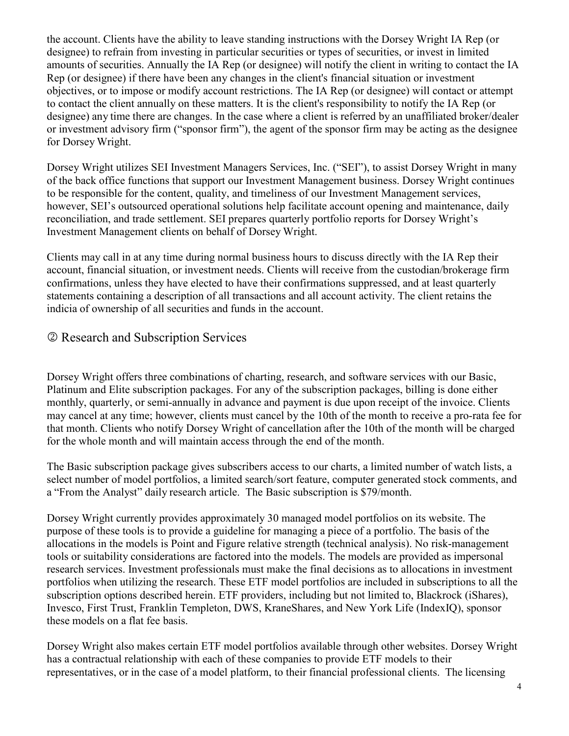the account. Clients have the ability to leave standing instructions with the Dorsey Wright IA Rep (or designee) to refrain from investing in particular securities or types of securities, or invest in limited amounts of securities. Annually the IA Rep (or designee) will notify the client in writing to contact the IA Rep (or designee) if there have been any changes in the client's financial situation or investment objectives, or to impose or modify account restrictions. The IA Rep (or designee) will contact or attempt to contact the client annually on these matters. It is the client's responsibility to notify the IA Rep (or designee) any time there are changes. In the case where a client is referred by an unaffiliated broker/dealer or investment advisory firm ("sponsor firm"), the agent of the sponsor firm may be acting as the designee for Dorsey Wright.

Dorsey Wright utilizes SEI Investment Managers Services, Inc. ("SEI"), to assist Dorsey Wright in many of the back office functions that support our Investment Management business. Dorsey Wright continues to be responsible for the content, quality, and timeliness of our Investment Management services, however, SEI's outsourced operational solutions help facilitate account opening and maintenance, daily reconciliation, and trade settlement. SEI prepares quarterly portfolio reports for Dorsey Wright's Investment Management clients on behalf of Dorsey Wright.

Clients may call in at any time during normal business hours to discuss directly with the IA Rep their account, financial situation, or investment needs. Clients will receive from the custodian/brokerage firm confirmations, unless they have elected to have their confirmations suppressed, and at least quarterly statements containing a description of all transactions and all account activity. The client retains the indicia of ownership of all securities and funds in the account.

## Research and Subscription Services

Dorsey Wright offers three combinations of charting, research, and software services with our Basic, Platinum and Elite subscription packages. For any of the subscription packages, billing is done either monthly, quarterly, or semi-annually in advance and payment is due upon receipt of the invoice. Clients may cancel at any time; however, clients must cancel by the 10th of the month to receive a pro-rata fee for that month. Clients who notify Dorsey Wright of cancellation after the 10th of the month will be charged for the whole month and will maintain access through the end of the month.

The Basic subscription package gives subscribers access to our charts, a limited number of watch lists, a select number of model portfolios, a limited search/sort feature, computer generated stock comments, and a "From the Analyst" daily research article. The Basic subscription is \$79/month.

Dorsey Wright currently provides approximately 30 managed model portfolios on its website. The purpose of these tools is to provide a guideline for managing a piece of a portfolio. The basis of the allocations in the models is Point and Figure relative strength (technical analysis). No risk-management tools or suitability considerations are factored into the models. The models are provided as impersonal research services. Investment professionals must make the final decisions as to allocations in investment portfolios when utilizing the research. These ETF model portfolios are included in subscriptions to all the subscription options described herein. ETF providers, including but not limited to, Blackrock (iShares), Invesco, First Trust, Franklin Templeton, DWS, KraneShares, and New York Life (IndexIQ), sponsor these models on a flat fee basis.

Dorsey Wright also makes certain ETF model portfolios available through other websites. Dorsey Wright has a contractual relationship with each of these companies to provide ETF models to their representatives, or in the case of a model platform, to their financial professional clients. The licensing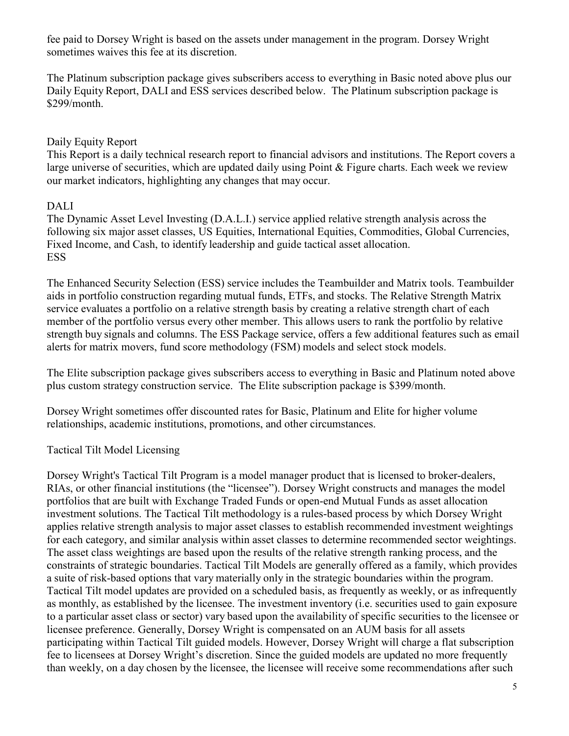fee paid to Dorsey Wright is based on the assets under management in the program. Dorsey Wright sometimes waives this fee at its discretion.

The Platinum subscription package gives subscribers access to everything in Basic noted above plus our Daily Equity Report, DALI and ESS services described below. The Platinum subscription package is \$299/month.

#### Daily Equity Report

This Report is a daily technical research report to financial advisors and institutions. The Report covers a large universe of securities, which are updated daily using Point & Figure charts. Each week we review our market indicators, highlighting any changes that may occur.

#### DALI

The Dynamic Asset Level Investing (D.A.L.I.) service applied relative strength analysis across the following six major asset classes, US Equities, International Equities, Commodities, Global Currencies, Fixed Income, and Cash, to identify leadership and guide tactical asset allocation. **ESS** 

The Enhanced Security Selection (ESS) service includes the Teambuilder and Matrix tools. Teambuilder aids in portfolio construction regarding mutual funds, ETFs, and stocks. The Relative Strength Matrix service evaluates a portfolio on a relative strength basis by creating a relative strength chart of each member of the portfolio versus every other member. This allows users to rank the portfolio by relative strength buy signals and columns. The ESS Package service, offers a few additional features such as email alerts for matrix movers, fund score methodology (FSM) models and select stock models.

The Elite subscription package gives subscribers access to everything in Basic and Platinum noted above plus custom strategy construction service. The Elite subscription package is \$399/month.

Dorsey Wright sometimes offer discounted rates for Basic, Platinum and Elite for higher volume relationships, academic institutions, promotions, and other circumstances.

#### Tactical Tilt Model Licensing

Dorsey Wright's Tactical Tilt Program is a model manager product that is licensed to broker-dealers, RIAs, or other financial institutions (the "licensee"). Dorsey Wright constructs and manages the model portfolios that are built with Exchange Traded Funds or open-end Mutual Funds as asset allocation investment solutions. The Tactical Tilt methodology is a rules-based process by which Dorsey Wright applies relative strength analysis to major asset classes to establish recommended investment weightings for each category, and similar analysis within asset classes to determine recommended sector weightings. The asset class weightings are based upon the results of the relative strength ranking process, and the constraints of strategic boundaries. Tactical Tilt Models are generally offered as a family, which provides a suite of risk-based options that vary materially only in the strategic boundaries within the program. Tactical Tilt model updates are provided on a scheduled basis, as frequently as weekly, or as infrequently as monthly, as established by the licensee. The investment inventory (i.e. securities used to gain exposure to a particular asset class or sector) vary based upon the availability of specific securities to the licensee or licensee preference. Generally, Dorsey Wright is compensated on an AUM basis for all assets participating within Tactical Tilt guided models. However, Dorsey Wright will charge a flat subscription fee to licensees at Dorsey Wright's discretion. Since the guided models are updated no more frequently than weekly, on a day chosen by the licensee, the licensee will receive some recommendations after such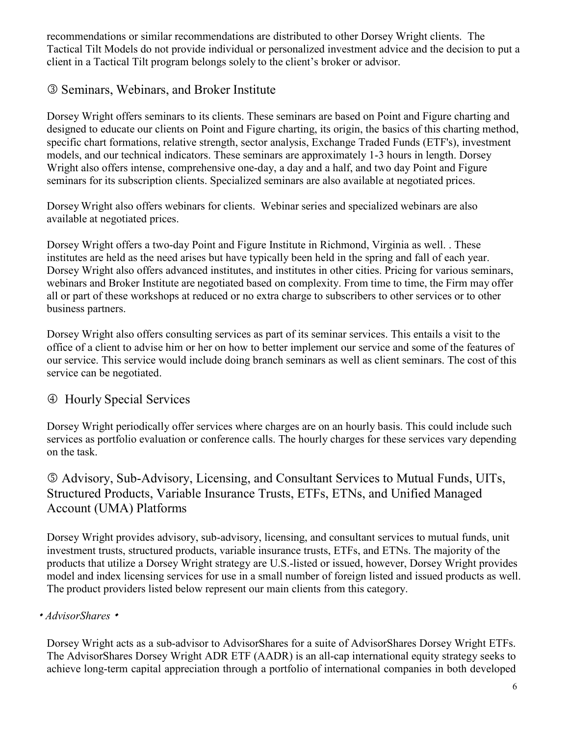recommendations or similar recommendations are distributed to other Dorsey Wright clients. The Tactical Tilt Models do not provide individual or personalized investment advice and the decision to put a client in a Tactical Tilt program belongs solely to the client's broker or advisor.

## Seminars, Webinars, and Broker Institute

Dorsey Wright offers seminars to its clients. These seminars are based on Point and Figure charting and designed to educate our clients on Point and Figure charting, its origin, the basics of this charting method, specific chart formations, relative strength, sector analysis, Exchange Traded Funds (ETF's), investment models, and our technical indicators. These seminars are approximately 1-3 hours in length. Dorsey Wright also offers intense, comprehensive one-day, a day and a half, and two day Point and Figure seminars for its subscription clients. Specialized seminars are also available at negotiated prices.

Dorsey Wright also offers webinars for clients. Webinar series and specialized webinars are also available at negotiated prices.

Dorsey Wright offers a two-day Point and Figure Institute in Richmond, Virginia as well. . These institutes are held as the need arises but have typically been held in the spring and fall of each year. Dorsey Wright also offers advanced institutes, and institutes in other cities. Pricing for various seminars, webinars and Broker Institute are negotiated based on complexity. From time to time, the Firm may offer all or part of these workshops at reduced or no extra charge to subscribers to other services or to other business partners.

Dorsey Wright also offers consulting services as part of its seminar services. This entails a visit to the office of a client to advise him or her on how to better implement our service and some of the features of our service. This service would include doing branch seminars as well as client seminars. The cost of this service can be negotiated.

## Hourly Special Services

Dorsey Wright periodically offer services where charges are on an hourly basis. This could include such services as portfolio evaluation or conference calls. The hourly charges for these services vary depending on the task.

## Advisory, Sub-Advisory, Licensing, and Consultant Services to Mutual Funds, UITs, Structured Products, Variable Insurance Trusts, ETFs, ETNs, and Unified Managed Account (UMA) Platforms

Dorsey Wright provides advisory, sub-advisory, licensing, and consultant services to mutual funds, unit investment trusts, structured products, variable insurance trusts, ETFs, and ETNs. The majority of the products that utilize a Dorsey Wright strategy are U.S.-listed or issued, however, Dorsey Wright provides model and index licensing services for use in a small number of foreign listed and issued products as well. The product providers listed below represent our main clients from this category.

#### *AdvisorShares*

Dorsey Wright acts as a sub-advisor to AdvisorShares for a suite of AdvisorShares Dorsey Wright ETFs. The AdvisorShares Dorsey Wright ADR ETF (AADR) is an all-cap international equity strategy seeks to achieve long-term capital appreciation through a portfolio of international companies in both developed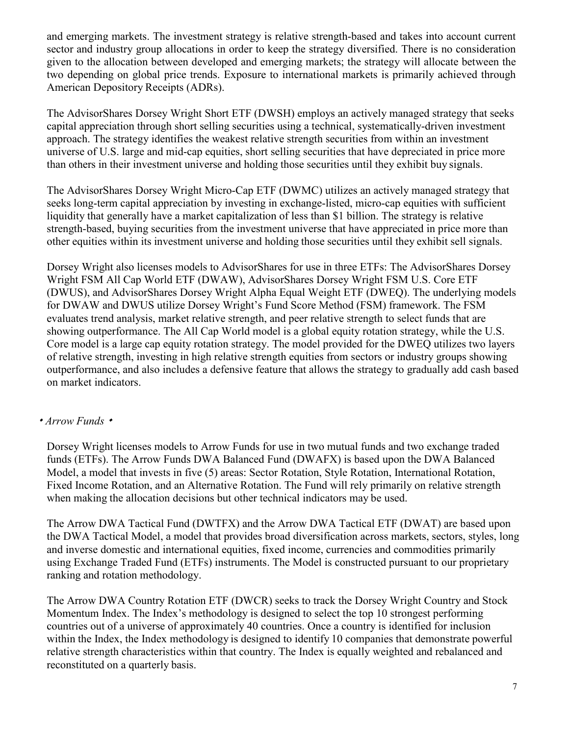and emerging markets. The investment strategy is relative strength-based and takes into account current sector and industry group allocations in order to keep the strategy diversified. There is no consideration given to the allocation between developed and emerging markets; the strategy will allocate between the two depending on global price trends. Exposure to international markets is primarily achieved through American Depository Receipts (ADRs).

The AdvisorShares Dorsey Wright Short ETF (DWSH) employs an actively managed strategy that seeks capital appreciation through short selling securities using a technical, systematically-driven investment approach. The strategy identifies the weakest relative strength securities from within an investment universe of U.S. large and mid-cap equities, short selling securities that have depreciated in price more than others in their investment universe and holding those securities until they exhibit buy signals.

The AdvisorShares Dorsey Wright Micro-Cap ETF (DWMC) utilizes an actively managed strategy that seeks long-term capital appreciation by investing in exchange-listed, micro-cap equities with sufficient liquidity that generally have a market capitalization of less than \$1 billion. The strategy is relative strength-based, buying securities from the investment universe that have appreciated in price more than other equities within its investment universe and holding those securities until they exhibit sell signals.

Dorsey Wright also licenses models to AdvisorShares for use in three ETFs: The AdvisorShares Dorsey Wright FSM All Cap World ETF (DWAW), AdvisorShares Dorsey Wright FSM U.S. Core ETF (DWUS), and AdvisorShares Dorsey Wright Alpha Equal Weight ETF (DWEQ). The underlying models for DWAW and DWUS utilize Dorsey Wright's Fund Score Method (FSM) framework. The FSM evaluates trend analysis, market relative strength, and peer relative strength to select funds that are showing outperformance. The All Cap World model is a global equity rotation strategy, while the U.S. Core model is a large cap equity rotation strategy. The model provided for the DWEQ utilizes two layers of relative strength, investing in high relative strength equities from sectors or industry groups showing outperformance, and also includes a defensive feature that allows the strategy to gradually add cash based on market indicators.

#### *Arrow Funds*

Dorsey Wright licenses models to Arrow Funds for use in two mutual funds and two exchange traded funds (ETFs). The Arrow Funds DWA Balanced Fund (DWAFX) is based upon the DWA Balanced Model, a model that invests in five (5) areas: Sector Rotation, Style Rotation, International Rotation, Fixed Income Rotation, and an Alternative Rotation. The Fund will rely primarily on relative strength when making the allocation decisions but other technical indicators may be used.

The Arrow DWA Tactical Fund (DWTFX) and the Arrow DWA Tactical ETF (DWAT) are based upon the DWA Tactical Model, a model that provides broad diversification across markets, sectors, styles, long and inverse domestic and international equities, fixed income, currencies and commodities primarily using Exchange Traded Fund (ETFs) instruments. The Model is constructed pursuant to our proprietary ranking and rotation methodology.

The Arrow DWA Country Rotation ETF (DWCR) seeks to track the Dorsey Wright Country and Stock Momentum Index. The Index's methodology is designed to select the top 10 strongest performing countries out of a universe of approximately 40 countries. Once a country is identified for inclusion within the Index, the Index methodology is designed to identify 10 companies that demonstrate powerful relative strength characteristics within that country. The Index is equally weighted and rebalanced and reconstituted on a quarterly basis.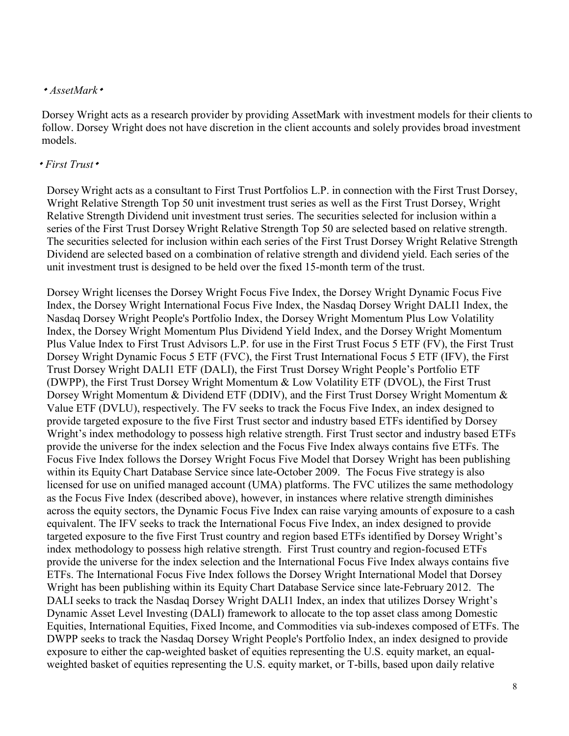#### *AssetMark*

Dorsey Wright acts as a research provider by providing AssetMark with investment models for their clients to follow. Dorsey Wright does not have discretion in the client accounts and solely provides broad investment models.

#### *First Trust*

Dorsey Wright acts as a consultant to First Trust Portfolios L.P. in connection with the First Trust Dorsey, Wright Relative Strength Top 50 unit investment trust series as well as the First Trust Dorsey, Wright Relative Strength Dividend unit investment trust series. The securities selected for inclusion within a series of the First Trust Dorsey Wright Relative Strength Top 50 are selected based on relative strength. The securities selected for inclusion within each series of the First Trust Dorsey Wright Relative Strength Dividend are selected based on a combination of relative strength and dividend yield. Each series of the unit investment trust is designed to be held over the fixed 15-month term of the trust.

Dorsey Wright licenses the Dorsey Wright Focus Five Index, the Dorsey Wright Dynamic Focus Five Index, the Dorsey Wright International Focus Five Index, the Nasdaq Dorsey Wright DALI1 Index, the Nasdaq Dorsey Wright People's Portfolio Index, the Dorsey Wright Momentum Plus Low Volatility Index, the Dorsey Wright Momentum Plus Dividend Yield Index, and the Dorsey Wright Momentum Plus Value Index to First Trust Advisors L.P. for use in the First Trust Focus 5 ETF (FV), the First Trust Dorsey Wright Dynamic Focus 5 ETF (FVC), the First Trust International Focus 5 ETF (IFV), the First Trust Dorsey Wright DALI1 ETF (DALI), the First Trust Dorsey Wright People's Portfolio ETF (DWPP), the First Trust Dorsey Wright Momentum & Low Volatility ETF (DVOL), the First Trust Dorsey Wright Momentum & Dividend ETF (DDIV), and the First Trust Dorsey Wright Momentum & Value ETF (DVLU), respectively. The FV seeks to track the Focus Five Index, an index designed to provide targeted exposure to the five First Trust sector and industry based ETFs identified by Dorsey Wright's index methodology to possess high relative strength. First Trust sector and industry based ETFs provide the universe for the index selection and the Focus Five Index always contains five ETFs. The Focus Five Index follows the Dorsey Wright Focus Five Model that Dorsey Wright has been publishing within its Equity Chart Database Service since late-October 2009. The Focus Five strategy is also licensed for use on unified managed account (UMA) platforms. The FVC utilizes the same methodology as the Focus Five Index (described above), however, in instances where relative strength diminishes across the equity sectors, the Dynamic Focus Five Index can raise varying amounts of exposure to a cash equivalent. The IFV seeks to track the International Focus Five Index, an index designed to provide targeted exposure to the five First Trust country and region based ETFs identified by Dorsey Wright's index methodology to possess high relative strength. First Trust country and region-focused ETFs provide the universe for the index selection and the International Focus Five Index always contains five ETFs. The International Focus Five Index follows the Dorsey Wright International Model that Dorsey Wright has been publishing within its Equity Chart Database Service since late-February 2012. The DALI seeks to track the Nasdaq Dorsey Wright DALI1 Index, an index that utilizes Dorsey Wright's Dynamic Asset Level Investing (DALI) framework to allocate to the top asset class among Domestic Equities, International Equities, Fixed Income, and Commodities via sub-indexes composed of ETFs. The DWPP seeks to track the Nasdaq Dorsey Wright People's Portfolio Index, an index designed to provide exposure to either the cap-weighted basket of equities representing the U.S. equity market, an equalweighted basket of equities representing the U.S. equity market, or T-bills, based upon daily relative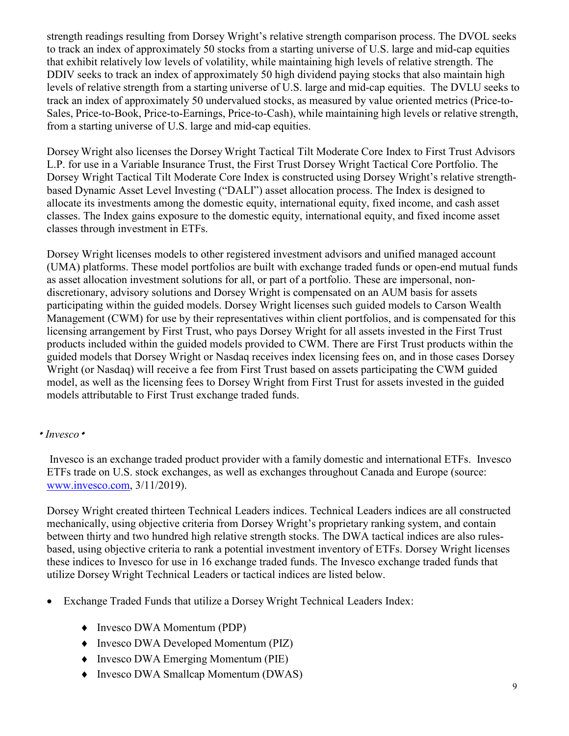strength readings resulting from Dorsey Wright's relative strength comparison process. The DVOL seeks to track an index of approximately 50 stocks from a starting universe of U.S. large and mid-cap equities that exhibit relatively low levels of volatility, while maintaining high levels of relative strength. The DDIV seeks to track an index of approximately 50 high dividend paying stocks that also maintain high levels of relative strength from a starting universe of U.S. large and mid-cap equities. The DVLU seeks to track an index of approximately 50 undervalued stocks, as measured by value oriented metrics (Price-to-Sales, Price-to-Book, Price-to-Earnings, Price-to-Cash), while maintaining high levels or relative strength, from a starting universe of U.S. large and mid-cap equities.

Dorsey Wright also licenses the Dorsey Wright Tactical Tilt Moderate Core Index to First Trust Advisors L.P. for use in a Variable Insurance Trust, the First Trust Dorsey Wright Tactical Core Portfolio. The Dorsey Wright Tactical Tilt Moderate Core Index is constructed using Dorsey Wright's relative strengthbased Dynamic Asset Level Investing ("DALI") asset allocation process. The Index is designed to allocate its investments among the domestic equity, international equity, fixed income, and cash asset classes. The Index gains exposure to the domestic equity, international equity, and fixed income asset classes through investment in ETFs.

Dorsey Wright licenses models to other registered investment advisors and unified managed account (UMA) platforms. These model portfolios are built with exchange traded funds or open-end mutual funds as asset allocation investment solutions for all, or part of a portfolio. These are impersonal, nondiscretionary, advisory solutions and Dorsey Wright is compensated on an AUM basis for assets participating within the guided models. Dorsey Wright licenses such guided models to Carson Wealth Management (CWM) for use by their representatives within client portfolios, and is compensated for this licensing arrangement by First Trust, who pays Dorsey Wright for all assets invested in the First Trust products included within the guided models provided to CWM. There are First Trust products within the guided models that Dorsey Wright or Nasdaq receives index licensing fees on, and in those cases Dorsey Wright (or Nasdaq) will receive a fee from First Trust based on assets participating the CWM guided model, as well as the licensing fees to Dorsey Wright from First Trust for assets invested in the guided models attributable to First Trust exchange traded funds.

#### *Invesco*

Invesco is an exchange traded product provider with a family domestic and international ETFs. Invesco ETFs trade on U.S. stock exchanges, as well as exchanges throughout Canada and Europe (source: [www.invesco.com,](http://www.invesco.com/) 3/11/2019).

Dorsey Wright created thirteen Technical Leaders indices. Technical Leaders indices are all constructed mechanically, using objective criteria from Dorsey Wright's proprietary ranking system, and contain between thirty and two hundred high relative strength stocks. The DWA tactical indices are also rulesbased, using objective criteria to rank a potential investment inventory of ETFs. Dorsey Wright licenses these indices to Invesco for use in 16 exchange traded funds. The Invesco exchange traded funds that utilize Dorsey Wright Technical Leaders or tactical indices are listed below.

- Exchange Traded Funds that utilize a Dorsey Wright Technical Leaders Index:
	- ♦ Invesco DWA Momentum (PDP)
	- ♦ Invesco DWA Developed Momentum (PIZ)
	- ♦ Invesco DWA Emerging Momentum (PIE)
	- ♦ Invesco DWA Smallcap Momentum (DWAS)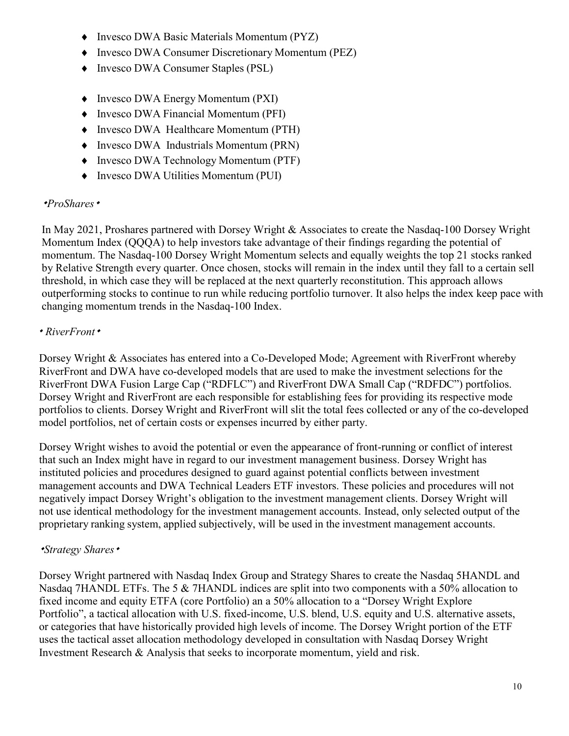- ♦ Invesco DWA Basic Materials Momentum (PYZ)
- ♦ Invesco DWA Consumer Discretionary Momentum (PEZ)
- ♦ Invesco DWA Consumer Staples (PSL)
- ♦ Invesco DWA Energy Momentum (PXI)
- ♦ Invesco DWA Financial Momentum (PFI)
- ♦ Invesco DWA Healthcare Momentum (PTH)
- ♦ Invesco DWA Industrials Momentum (PRN)
- ♦ Invesco DWA Technology Momentum (PTF)
- ♦ Invesco DWA Utilities Momentum (PUI)

#### *ProShares*

In May 2021, Proshares partnered with Dorsey Wright & Associates to create the Nasdaq-100 Dorsey Wright Momentum Index (QQQA) to help investors take advantage of their findings regarding the potential of momentum. The Nasdaq-100 Dorsey Wright Momentum selects and equally weights the top 21 stocks ranked by Relative Strength every quarter. Once chosen, stocks will remain in the index until they fall to a certain sell threshold, in which case they will be replaced at the next quarterly reconstitution. This approach allows outperforming stocks to continue to run while reducing portfolio turnover. It also helps the index keep pace with changing momentum trends in the Nasdaq-100 Index.

#### *RiverFront*

Dorsey Wright & Associates has entered into a Co-Developed Mode; Agreement with RiverFront whereby RiverFront and DWA have co-developed models that are used to make the investment selections for the RiverFront DWA Fusion Large Cap ("RDFLC") and RiverFront DWA Small Cap ("RDFDC") portfolios. Dorsey Wright and RiverFront are each responsible for establishing fees for providing its respective mode portfolios to clients. Dorsey Wright and RiverFront will slit the total fees collected or any of the co-developed model portfolios, net of certain costs or expenses incurred by either party.

Dorsey Wright wishes to avoid the potential or even the appearance of front-running or conflict of interest that such an Index might have in regard to our investment management business. Dorsey Wright has instituted policies and procedures designed to guard against potential conflicts between investment management accounts and DWA Technical Leaders ETF investors. These policies and procedures will not negatively impact Dorsey Wright's obligation to the investment management clients. Dorsey Wright will not use identical methodology for the investment management accounts. Instead, only selected output of the proprietary ranking system, applied subjectively, will be used in the investment management accounts.

#### *Strategy Shares*

Dorsey Wright partnered with Nasdaq Index Group and Strategy Shares to create the Nasdaq 5HANDL and Nasdaq 7HANDL ETFs. The 5 & 7HANDL indices are split into two components with a 50% allocation to fixed income and equity ETFA (core Portfolio) an a 50% allocation to a "Dorsey Wright Explore Portfolio", a tactical allocation with U.S. fixed-income, U.S. blend, U.S. equity and U.S. alternative assets, or categories that have historically provided high levels of income. The Dorsey Wright portion of the ETF uses the tactical asset allocation methodology developed in consultation with Nasdaq Dorsey Wright Investment Research & Analysis that seeks to incorporate momentum, yield and risk.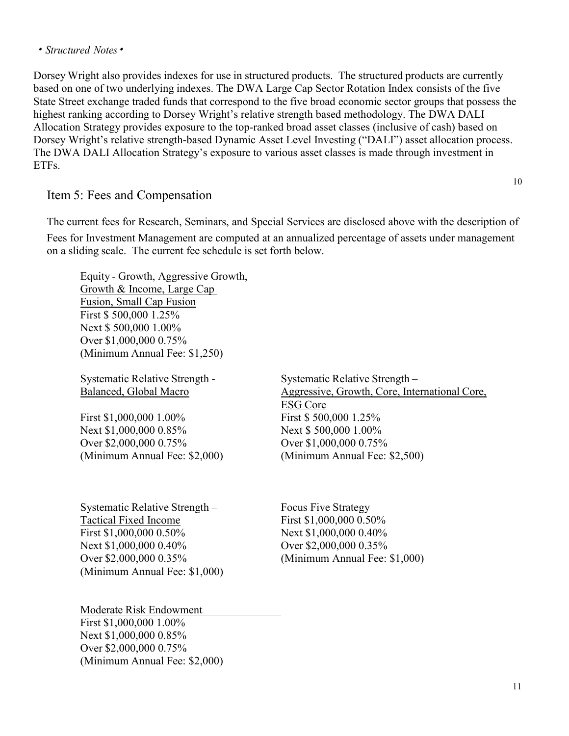<span id="page-10-0"></span>Dorsey Wright also provides indexes for use in structured products. The structured products are currently based on one of two underlying indexes. The DWA Large Cap Sector Rotation Index consists of the five State Street exchange traded funds that correspond to the five broad economic sector groups that possess the highest ranking according to Dorsey Wright's relative strength based methodology. The DWA DALI Allocation Strategy provides exposure to the top-ranked broad asset classes (inclusive of cash) based on Dorsey Wright's relative strength-based Dynamic Asset Level Investing ("DALI") asset allocation process. The DWA DALI Allocation Strategy's exposure to various asset classes is made through investment in ETFs.

#### Item 5: Fees and Compensation

The current fees for Research, Seminars, and Special Services are disclosed above with the description of Fees for Investment Management are computed at an annualized percentage of assets under management on a sliding scale. The current fee schedule is set forth below.

Equity - Growth, Aggressive Growth, Growth & Income, Large Cap Fusion, Small Cap Fusion First \$ 500,000 1.25% Next \$ 500,000 1.00% Over \$1,000,000 0.75% (Minimum Annual Fee: \$1,250)

Systematic Relative Strength - Systematic Relative Strength –

First \$1,000,000 1.00% First \$ 500,000 1.25% Next \$1,000,000 0.85% Next \$ 500,000 1.00% Over \$2,000,000 0.75% Over \$1,000,000 0.75% (Minimum Annual Fee: \$2,000) (Minimum Annual Fee: \$2,500)

Systematic Relative Strength – Focus Five Strategy Tactical Fixed Income First \$1,000,000 0.50% First \$1,000,000 0.50% Next \$1,000,000 0.40% Next \$1,000,000 0.40% Over \$2,000,000 0.35% (Minimum Annual Fee: \$1,000)

Balanced, Global Macro Aggressive, Growth, Core, International Core, ESG Core

Over \$2,000,000 0.35% (Minimum Annual Fee: \$1,000)

Moderate Risk Endowment First \$1,000,000 1.00% Next \$1,000,000 0.85% Over \$2,000,000 0.75% (Minimum Annual Fee: \$2,000) 10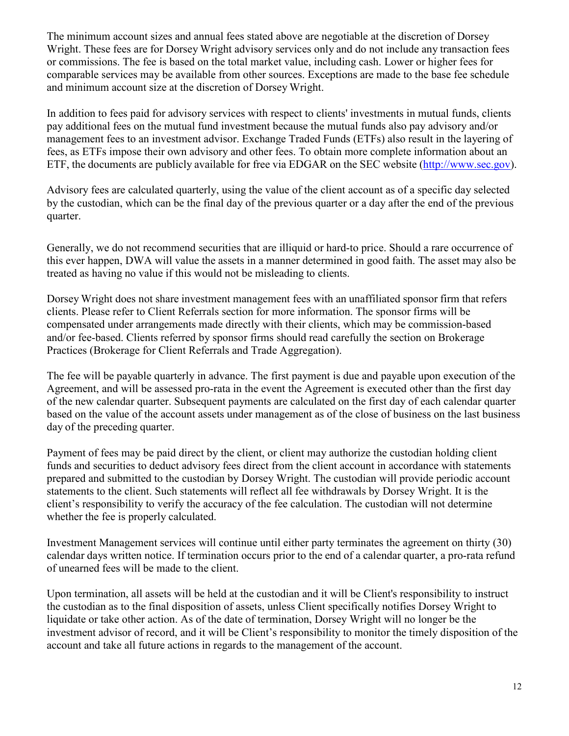The minimum account sizes and annual fees stated above are negotiable at the discretion of Dorsey Wright. These fees are for Dorsey Wright advisory services only and do not include any transaction fees or commissions. The fee is based on the total market value, including cash. Lower or higher fees for comparable services may be available from other sources. Exceptions are made to the base fee schedule and minimum account size at the discretion of Dorsey Wright.

In addition to fees paid for advisory services with respect to clients' investments in mutual funds, clients pay additional fees on the mutual fund investment because the mutual funds also pay advisory and/or management fees to an investment advisor. Exchange Traded Funds (ETFs) also result in the layering of fees, as ETFs impose their own advisory and other fees. To obtain more complete information about an ETF, the documents are publicly available for free via EDGAR on the SEC website [\(http://www.sec.gov\)](http://www.sec.gov/).

Advisory fees are calculated quarterly, using the value of the client account as of a specific day selected by the custodian, which can be the final day of the previous quarter or a day after the end of the previous quarter.

Generally, we do not recommend securities that are illiquid or hard-to price. Should a rare occurrence of this ever happen, DWA will value the assets in a manner determined in good faith. The asset may also be treated as having no value if this would not be misleading to clients.

Dorsey Wright does not share investment management fees with an unaffiliated sponsor firm that refers clients. Please refer to Client Referrals section for more information. The sponsor firms will be compensated under arrangements made directly with their clients, which may be commission-based and/or fee-based. Clients referred by sponsor firms should read carefully the section on Brokerage Practices (Brokerage for Client Referrals and Trade Aggregation).

The fee will be payable quarterly in advance. The first payment is due and payable upon execution of the Agreement, and will be assessed pro-rata in the event the Agreement is executed other than the first day of the new calendar quarter. Subsequent payments are calculated on the first day of each calendar quarter based on the value of the account assets under management as of the close of business on the last business day of the preceding quarter.

Payment of fees may be paid direct by the client, or client may authorize the custodian holding client funds and securities to deduct advisory fees direct from the client account in accordance with statements prepared and submitted to the custodian by Dorsey Wright. The custodian will provide periodic account statements to the client. Such statements will reflect all fee withdrawals by Dorsey Wright. It is the client's responsibility to verify the accuracy of the fee calculation. The custodian will not determine whether the fee is properly calculated.

Investment Management services will continue until either party terminates the agreement on thirty (30) calendar days written notice. If termination occurs prior to the end of a calendar quarter, a pro-rata refund of unearned fees will be made to the client.

Upon termination, all assets will be held at the custodian and it will be Client's responsibility to instruct the custodian as to the final disposition of assets, unless Client specifically notifies Dorsey Wright to liquidate or take other action. As of the date of termination, Dorsey Wright will no longer be the investment advisor of record, and it will be Client's responsibility to monitor the timely disposition of the account and take all future actions in regards to the management of the account.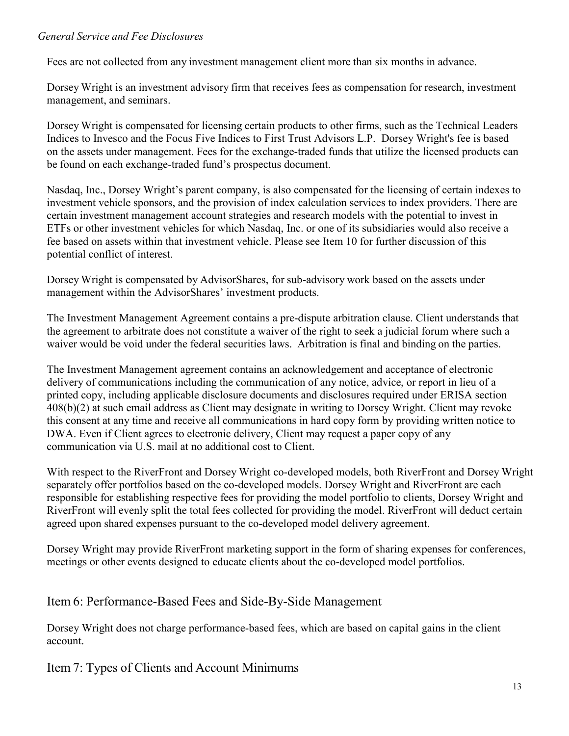#### *General Service and Fee Disclosures*

Fees are not collected from any investment management client more than six months in advance.

Dorsey Wright is an investment advisory firm that receives fees as compensation for research, investment management, and seminars.

Dorsey Wright is compensated for licensing certain products to other firms, such as the Technical Leaders Indices to Invesco and the Focus Five Indices to First Trust Advisors L.P. Dorsey Wright's fee is based on the assets under management. Fees for the exchange-traded funds that utilize the licensed products can be found on each exchange-traded fund's prospectus document.

Nasdaq, Inc., Dorsey Wright's parent company, is also compensated for the licensing of certain indexes to investment vehicle sponsors, and the provision of index calculation services to index providers. There are certain investment management account strategies and research models with the potential to invest in ETFs or other investment vehicles for which Nasdaq, Inc. or one of its subsidiaries would also receive a fee based on assets within that investment vehicle. Please see Item 10 for further discussion of this potential conflict of interest.

Dorsey Wright is compensated by AdvisorShares, for sub-advisory work based on the assets under management within the AdvisorShares' investment products.

The Investment Management Agreement contains a pre-dispute arbitration clause. Client understands that the agreement to arbitrate does not constitute a waiver of the right to seek a judicial forum where such a waiver would be void under the federal securities laws. Arbitration is final and binding on the parties.

The Investment Management agreement contains an acknowledgement and acceptance of electronic delivery of communications including the communication of any notice, advice, or report in lieu of a printed copy, including applicable disclosure documents and disclosures required under ERISA section 408(b)(2) at such email address as Client may designate in writing to Dorsey Wright. Client may revoke this consent at any time and receive all communications in hard copy form by providing written notice to DWA. Even if Client agrees to electronic delivery, Client may request a paper copy of any communication via U.S. mail at no additional cost to Client.

With respect to the RiverFront and Dorsey Wright co-developed models, both RiverFront and Dorsey Wright separately offer portfolios based on the co-developed models. Dorsey Wright and RiverFront are each responsible for establishing respective fees for providing the model portfolio to clients, Dorsey Wright and RiverFront will evenly split the total fees collected for providing the model. RiverFront will deduct certain agreed upon shared expenses pursuant to the co-developed model delivery agreement.

Dorsey Wright may provide RiverFront marketing support in the form of sharing expenses for conferences, meetings or other events designed to educate clients about the co-developed model portfolios.

## <span id="page-12-0"></span>Item 6: Performance-Based Fees and Side-By-Side Management

Dorsey Wright does not charge performance-based fees, which are based on capital gains in the client account.

<span id="page-12-1"></span>Item 7: Types of Clients and Account Minimums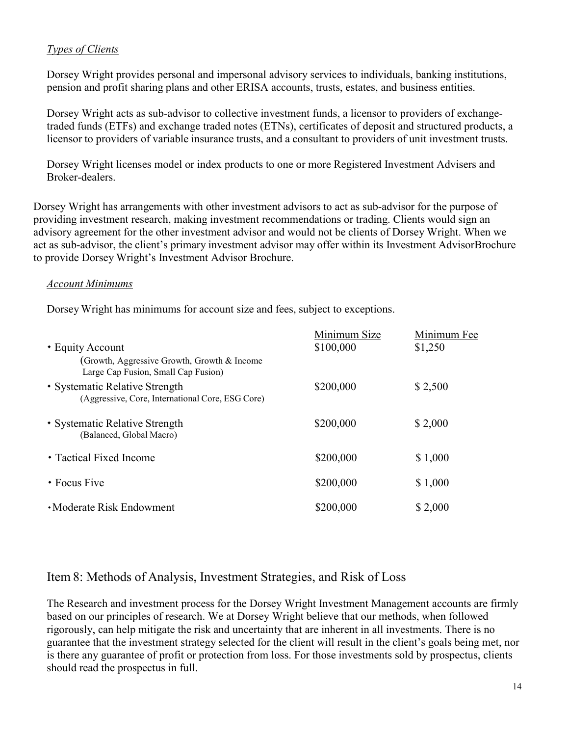#### *Types of Clients*

Dorsey Wright provides personal and impersonal advisory services to individuals, banking institutions, pension and profit sharing plans and other ERISA accounts, trusts, estates, and business entities.

Dorsey Wright acts as sub-advisor to collective investment funds, a licensor to providers of exchangetraded funds (ETFs) and exchange traded notes (ETNs), certificates of deposit and structured products, a licensor to providers of variable insurance trusts, and a consultant to providers of unit investment trusts.

Dorsey Wright licenses model or index products to one or more Registered Investment Advisers and Broker-dealers.

Dorsey Wright has arrangements with other investment advisors to act as sub-advisor for the purpose of providing investment research, making investment recommendations or trading. Clients would sign an advisory agreement for the other investment advisor and would not be clients of Dorsey Wright. When we act as sub-advisor, the client's primary investment advisor may offer within its Investment Advisor Brochure to provide Dorsey Wright's Investment Advisor Brochure.

#### *Account Minimums*

Dorsey Wright has minimums for account size and fees, subject to exceptions.

|                                                                                    | Minimum Size | Minimum Fee |
|------------------------------------------------------------------------------------|--------------|-------------|
| • Equity Account                                                                   | \$100,000    | \$1,250     |
| (Growth, Aggressive Growth, Growth & Income<br>Large Cap Fusion, Small Cap Fusion) |              |             |
| • Systematic Relative Strength<br>(Aggressive, Core, International Core, ESG Core) | \$200,000    | \$2,500     |
| • Systematic Relative Strength<br>(Balanced, Global Macro)                         | \$200,000    | \$2,000     |
| • Tactical Fixed Income                                                            | \$200,000    | \$1,000     |
| $\cdot$ Focus Five                                                                 | \$200,000    | \$1,000     |
| • Moderate Risk Endowment                                                          | \$200,000    | \$2,000     |

#### <span id="page-13-0"></span>Item 8: Methods of Analysis, Investment Strategies, and Risk of Loss

The Research and investment process for the Dorsey Wright Investment Management accounts are firmly based on our principles of research. We at Dorsey Wright believe that our methods, when followed rigorously, can help mitigate the risk and uncertainty that are inherent in all investments. There is no guarantee that the investment strategy selected for the client will result in the client's goals being met, nor is there any guarantee of profit or protection from loss. For those investments sold by prospectus, clients should read the prospectus in full.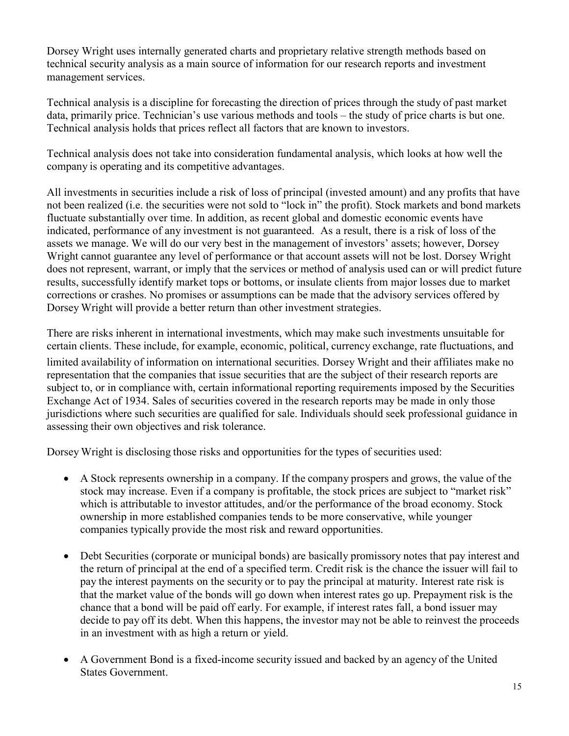Dorsey Wright uses internally generated charts and proprietary relative strength methods based on technical security analysis as a main source of information for our research reports and investment management services.

Technical analysis is a discipline for forecasting the direction of prices through the study of past market data, primarily price. Technician's use various methods and tools – the study of price charts is but one. Technical analysis holds that prices reflect all factors that are known to investors.

Technical analysis does not take into consideration fundamental analysis, which looks at how well the company is operating and its competitive advantages.

All investments in securities include a risk of loss of principal (invested amount) and any profits that have not been realized (i.e. the securities were not sold to "lock in" the profit). Stock markets and bond markets fluctuate substantially over time. In addition, as recent global and domestic economic events have indicated, performance of any investment is not guaranteed. As a result, there is a risk of loss of the assets we manage. We will do our very best in the management of investors' assets; however, Dorsey Wright cannot guarantee any level of performance or that account assets will not be lost. Dorsey Wright does not represent, warrant, or imply that the services or method of analysis used can or will predict future results, successfully identify market tops or bottoms, or insulate clients from major losses due to market corrections or crashes. No promises or assumptions can be made that the advisory services offered by Dorsey Wright will provide a better return than other investment strategies.

There are risks inherent in international investments, which may make such investments unsuitable for certain clients. These include, for example, economic, political, currency exchange, rate fluctuations, and limited availability of information on international securities. Dorsey Wright and their affiliates make no representation that the companies that issue securities that are the subject of their research reports are subject to, or in compliance with, certain informational reporting requirements imposed by the Securities Exchange Act of 1934. Sales of securities covered in the research reports may be made in only those jurisdictions where such securities are qualified for sale. Individuals should seek professional guidance in assessing their own objectives and risk tolerance.

Dorsey Wright is disclosing those risks and opportunities for the types of securities used:

- A Stock represents ownership in a company. If the company prospers and grows, the value of the stock may increase. Even if a company is profitable, the stock prices are subject to "market risk" which is attributable to investor attitudes, and/or the performance of the broad economy. Stock ownership in more established companies tends to be more conservative, while younger companies typically provide the most risk and reward opportunities.
- Debt Securities (corporate or municipal bonds) are basically promissory notes that pay interest and the return of principal at the end of a specified term. Credit risk is the chance the issuer will fail to pay the interest payments on the security or to pay the principal at maturity. Interest rate risk is that the market value of the bonds will go down when interest rates go up. Prepayment risk is the chance that a bond will be paid off early. For example, if interest rates fall, a bond issuer may decide to pay off its debt. When this happens, the investor may not be able to reinvest the proceeds in an investment with as high a return or yield.
- A Government Bond is a fixed-income security issued and backed by an agency of the United States Government.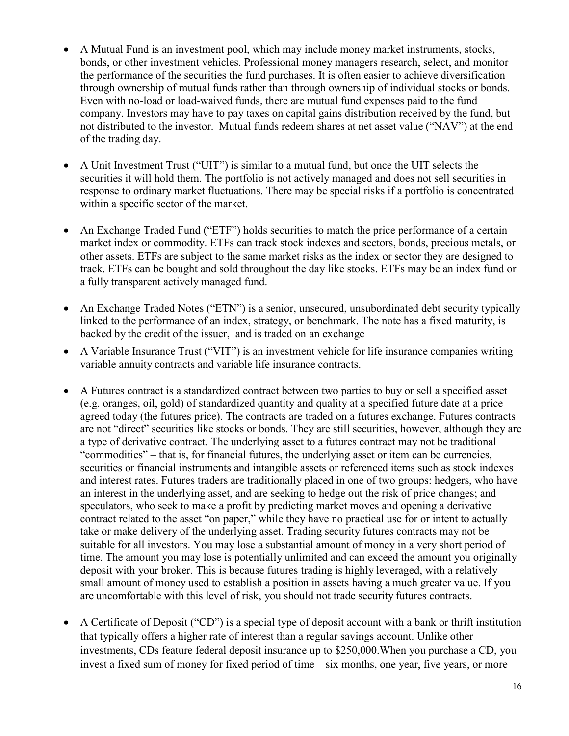- A Mutual Fund is an investment pool, which may include money market instruments, stocks, bonds, or other investment vehicles. Professional money managers research, select, and monitor the performance of the securities the fund purchases. It is often easier to achieve diversification through ownership of mutual funds rather than through ownership of individual stocks or bonds. Even with no-load or load-waived funds, there are mutual fund expenses paid to the fund company. Investors may have to pay taxes on capital gains distribution received by the fund, but not distributed to the investor. Mutual funds redeem shares at net asset value ("NAV") at the end of the trading day.
- A Unit Investment Trust ("UIT") is similar to a mutual fund, but once the UIT selects the securities it will hold them. The portfolio is not actively managed and does not sell securities in response to ordinary market fluctuations. There may be special risks if a portfolio is concentrated within a specific sector of the market.
- An Exchange Traded Fund ("ETF") holds securities to match the price performance of a certain market index or commodity. ETFs can track stock indexes and sectors, bonds, precious metals, or other assets. ETFs are subject to the same market risks as the index or sector they are designed to track. ETFs can be bought and sold throughout the day like stocks. ETFs may be an index fund or a fully transparent actively managed fund.
- An Exchange Traded Notes ("ETN") is a senior, unsecured, unsubordinated debt security typically linked to the performance of an index, strategy, or benchmark. The note has a fixed maturity, is backed by the credit of the issuer, and is traded on an exchange
- A Variable Insurance Trust ("VIT") is an investment vehicle for life insurance companies writing variable annuity contracts and variable life insurance contracts.
- A Futures contract is a standardized contract between two parties to buy or sell a specified asset (e.g. oranges, oil, gold) of standardized quantity and quality at a specified future date at a price agreed today (the futures price). The contracts are traded on a futures exchange. Futures contracts are not "direct" securities like stocks or bonds. They are still securities, however, although they are a type of derivative contract. The underlying asset to a futures contract may not be traditional "commodities" – that is, for financial futures, the underlying asset or item can be currencies, securities or financial instruments and intangible assets or referenced items such as stock indexes and interest rates. Futures traders are traditionally placed in one of two groups: hedgers, who have an interest in the underlying asset, and are seeking to hedge out the risk of price changes; and speculators, who seek to make a profit by predicting market moves and opening a derivative contract related to the asset "on paper," while they have no practical use for or intent to actually take or make delivery of the underlying asset. Trading security futures contracts may not be suitable for all investors. You may lose a substantial amount of money in a very short period of time. The amount you may lose is potentially unlimited and can exceed the amount you originally deposit with your broker. This is because futures trading is highly leveraged, with a relatively small amount of money used to establish a position in assets having a much greater value. If you are uncomfortable with this level of risk, you should not trade security futures contracts.
- A Certificate of Deposit ("CD") is a special type of deposit account with a bank or thrift institution that typically offers a higher rate of interest than a regular savings account. Unlike other investments, CDs feature federal deposit insurance up to \$250,000.When you purchase a CD, you invest a fixed sum of money for fixed period of time – six months, one year, five years, or more –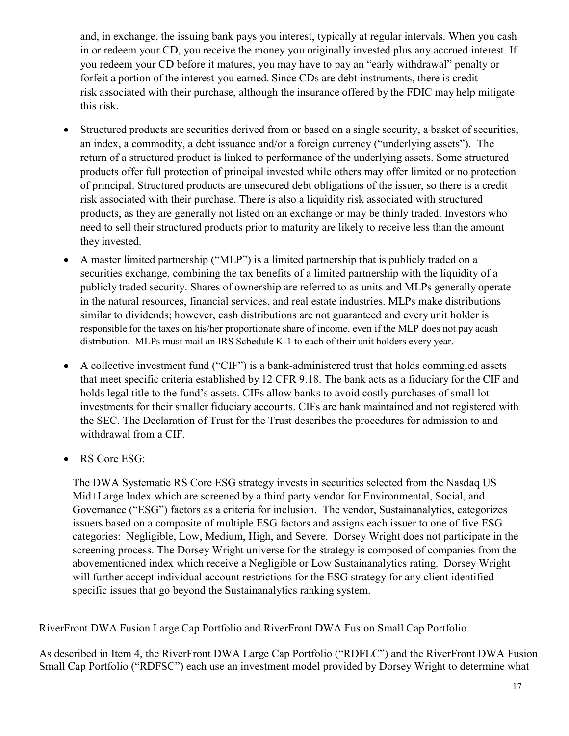and, in exchange, the issuing bank pays you interest, typically at regular intervals. When you cash in or redeem your CD, you receive the money you originally invested plus any accrued interest. If you redeem your CD before it matures, you may have to pay an "early withdrawal" penalty or forfeit a portion of the interest you earned. Since CDs are debt instruments, there is credit risk associated with their purchase, although the insurance offered by the FDIC may help mitigate this risk.

- Structured products are securities derived from or based on a single security, a basket of securities, an index, a commodity, a debt issuance and/or a foreign currency ("underlying assets"). The return of a structured product is linked to performance of the underlying assets. Some structured products offer full protection of principal invested while others may offer limited or no protection of principal. Structured products are unsecured debt obligations of the issuer, so there is a credit risk associated with their purchase. There is also a liquidity risk associated with structured products, as they are generally not listed on an exchange or may be thinly traded. Investors who need to sell their structured products prior to maturity are likely to receive less than the amount they invested.
- A master limited partnership ("MLP") is a limited partnership that is publicly traded on a securities exchange, combining the tax benefits of a limited partnership with the liquidity of a publicly traded security. Shares of ownership are referred to as units and MLPs generally operate in the natural resources, financial services, and real estate industries. MLPs make distributions similar to dividends; however, cash distributions are not guaranteed and every unit holder is responsible for the taxes on his/her proportionate share of income, even if the MLP does not pay acash distribution. MLPs must mail an IRS Schedule K-1 to each of their unit holders every year.
- A collective investment fund ("CIF") is a bank-administered trust that holds commingled assets that meet specific criteria established by 12 CFR 9.18. The bank acts as a fiduciary for the CIF and holds legal title to the fund's assets. CIFs allow banks to avoid costly purchases of small lot investments for their smaller fiduciary accounts. CIFs are bank maintained and not registered with the SEC. The Declaration of Trust for the Trust describes the procedures for admission to and withdrawal from a CIF.
- RS Core ESG:

The DWA Systematic RS Core ESG strategy invests in securities selected from the Nasdaq US Mid+Large Index which are screened by a third party vendor for Environmental, Social, and Governance ("ESG") factors as a criteria for inclusion. The vendor, Sustainanalytics, categorizes issuers based on a composite of multiple ESG factors and assigns each issuer to one of five ESG categories: Negligible, Low, Medium, High, and Severe. Dorsey Wright does not participate in the screening process. The Dorsey Wright universe for the strategy is composed of companies from the abovementioned index which receive a Negligible or Low Sustainanalytics rating. Dorsey Wright will further accept individual account restrictions for the ESG strategy for any client identified specific issues that go beyond the Sustainanalytics ranking system.

#### RiverFront DWA Fusion Large Cap Portfolio and RiverFront DWA Fusion Small Cap Portfolio

As described in Item 4, the RiverFront DWA Large Cap Portfolio ("RDFLC") and the RiverFront DWA Fusion Small Cap Portfolio ("RDFSC") each use an investment model provided by Dorsey Wright to determine what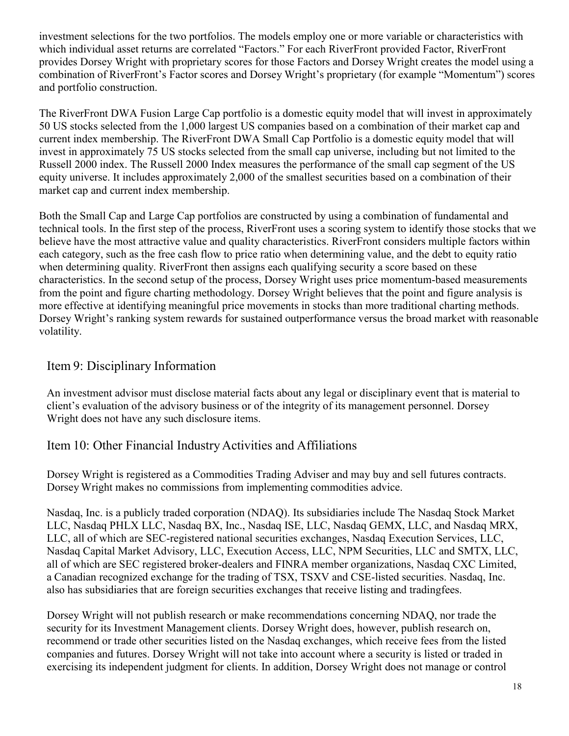investment selections for the two portfolios. The models employ one or more variable or characteristics with which individual asset returns are correlated "Factors." For each RiverFront provided Factor, RiverFront provides Dorsey Wright with proprietary scores for those Factors and Dorsey Wright creates the model using a combination of RiverFront's Factor scores and Dorsey Wright's proprietary (for example "Momentum") scores and portfolio construction.

The RiverFront DWA Fusion Large Cap portfolio is a domestic equity model that will invest in approximately 50 US stocks selected from the 1,000 largest US companies based on a combination of their market cap and current index membership. The RiverFront DWA Small Cap Portfolio is a domestic equity model that will invest in approximately 75 US stocks selected from the small cap universe, including but not limited to the Russell 2000 index. The Russell 2000 Index measures the performance of the small cap segment of the US equity universe. It includes approximately 2,000 of the smallest securities based on a combination of their market cap and current index membership.

Both the Small Cap and Large Cap portfolios are constructed by using a combination of fundamental and technical tools. In the first step of the process, RiverFront uses a scoring system to identify those stocks that we believe have the most attractive value and quality characteristics. RiverFront considers multiple factors within each category, such as the free cash flow to price ratio when determining value, and the debt to equity ratio when determining quality. RiverFront then assigns each qualifying security a score based on these characteristics. In the second setup of the process, Dorsey Wright uses price momentum-based measurements from the point and figure charting methodology. Dorsey Wright believes that the point and figure analysis is more effective at identifying meaningful price movements in stocks than more traditional charting methods. Dorsey Wright's ranking system rewards for sustained outperformance versus the broad market with reasonable volatility.

## <span id="page-17-0"></span>Item 9: Disciplinary Information

An investment advisor must disclose material facts about any legal or disciplinary event that is material to client's evaluation of the advisory business or of the integrity of its management personnel. Dorsey Wright does not have any such disclosure items.

## <span id="page-17-1"></span>Item 10: Other Financial Industry Activities and Affiliations

Dorsey Wright is registered as a Commodities Trading Adviser and may buy and sell futures contracts. Dorsey Wright makes no commissions from implementing commodities advice.

Nasdaq, Inc. is a publicly traded corporation (NDAQ). Its subsidiaries include The Nasdaq Stock Market LLC, Nasdaq PHLX LLC, Nasdaq BX, Inc., Nasdaq ISE, LLC, Nasdaq GEMX, LLC, and Nasdaq MRX, LLC, all of which are SEC-registered national securities exchanges, Nasdaq Execution Services, LLC, Nasdaq Capital Market Advisory, LLC, Execution Access, LLC, NPM Securities, LLC and SMTX, LLC, all of which are SEC registered broker-dealers and FINRA member organizations, Nasdaq CXC Limited, a Canadian recognized exchange for the trading of TSX, TSXV and CSE-listed securities. Nasdaq, Inc. also has subsidiaries that are foreign securities exchanges that receive listing and tradingfees.

Dorsey Wright will not publish research or make recommendations concerning NDAQ, nor trade the security for its Investment Management clients. Dorsey Wright does, however, publish research on, recommend or trade other securities listed on the Nasdaq exchanges, which receive fees from the listed companies and futures. Dorsey Wright will not take into account where a security is listed or traded in exercising its independent judgment for clients. In addition, Dorsey Wright does not manage or control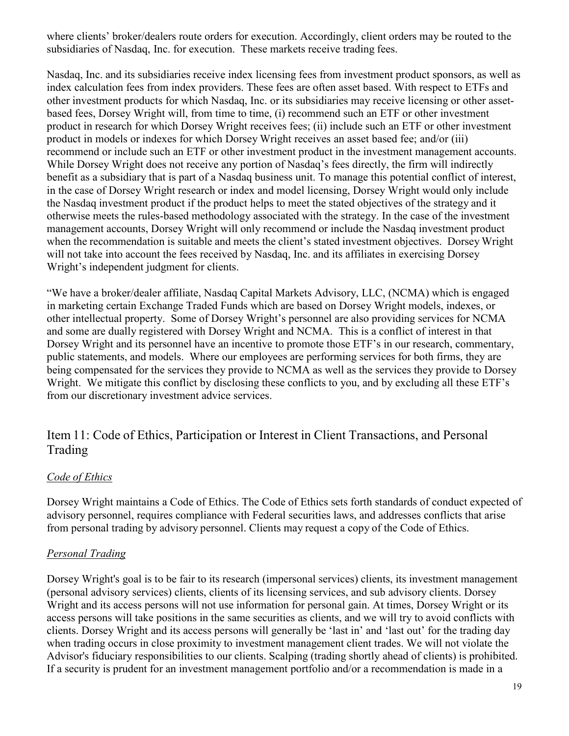where clients' broker/dealers route orders for execution. Accordingly, client orders may be routed to the subsidiaries of Nasdaq, Inc. for execution. These markets receive trading fees.

Nasdaq, Inc. and its subsidiaries receive index licensing fees from investment product sponsors, as well as index calculation fees from index providers. These fees are often asset based. With respect to ETFs and other investment products for which Nasdaq, Inc. or its subsidiaries may receive licensing or other assetbased fees, Dorsey Wright will, from time to time, (i) recommend such an ETF or other investment product in research for which Dorsey Wright receives fees; (ii) include such an ETF or other investment product in models or indexes for which Dorsey Wright receives an asset based fee; and/or (iii) recommend or include such an ETF or other investment product in the investment management accounts. While Dorsey Wright does not receive any portion of Nasdaq's fees directly, the firm will indirectly benefit as a subsidiary that is part of a Nasdaq business unit. To manage this potential conflict of interest, in the case of Dorsey Wright research or index and model licensing, Dorsey Wright would only include the Nasdaq investment product if the product helps to meet the stated objectives of the strategy and it otherwise meets the rules-based methodology associated with the strategy. In the case of the investment management accounts, Dorsey Wright will only recommend or include the Nasdaq investment product when the recommendation is suitable and meets the client's stated investment objectives. Dorsey Wright will not take into account the fees received by Nasdaq, Inc. and its affiliates in exercising Dorsey Wright's independent judgment for clients.

"We have a broker/dealer affiliate, Nasdaq Capital Markets Advisory, LLC, (NCMA) which is engaged in marketing certain Exchange Traded Funds which are based on Dorsey Wright models, indexes, or other intellectual property. Some of Dorsey Wright's personnel are also providing services for NCMA and some are dually registered with Dorsey Wright and NCMA. This is a conflict of interest in that Dorsey Wright and its personnel have an incentive to promote those ETF's in our research, commentary, public statements, and models. Where our employees are performing services for both firms, they are being compensated for the services they provide to NCMA as well as the services they provide to Dorsey Wright. We mitigate this conflict by disclosing these conflicts to you, and by excluding all these ETF's from our discretionary investment advice services.

## <span id="page-18-0"></span>Item 11: Code of Ethics, Participation or Interest in Client Transactions, and Personal Trading

#### *Code of Ethics*

Dorsey Wright maintains a Code of Ethics. The Code of Ethics sets forth standards of conduct expected of advisory personnel, requires compliance with Federal securities laws, and addresses conflicts that arise from personal trading by advisory personnel. Clients may request a copy of the Code of Ethics.

#### *Personal Trading*

Dorsey Wright's goal is to be fair to its research (impersonal services) clients, its investment management (personal advisory services) clients, clients of its licensing services, and sub advisory clients. Dorsey Wright and its access persons will not use information for personal gain. At times, Dorsey Wright or its access persons will take positions in the same securities as clients, and we will try to avoid conflicts with clients. Dorsey Wright and its access persons will generally be 'last in' and 'last out' for the trading day when trading occurs in close proximity to investment management client trades. We will not violate the Advisor's fiduciary responsibilities to our clients. Scalping (trading shortly ahead of clients) is prohibited. If a security is prudent for an investment management portfolio and/or a recommendation is made in a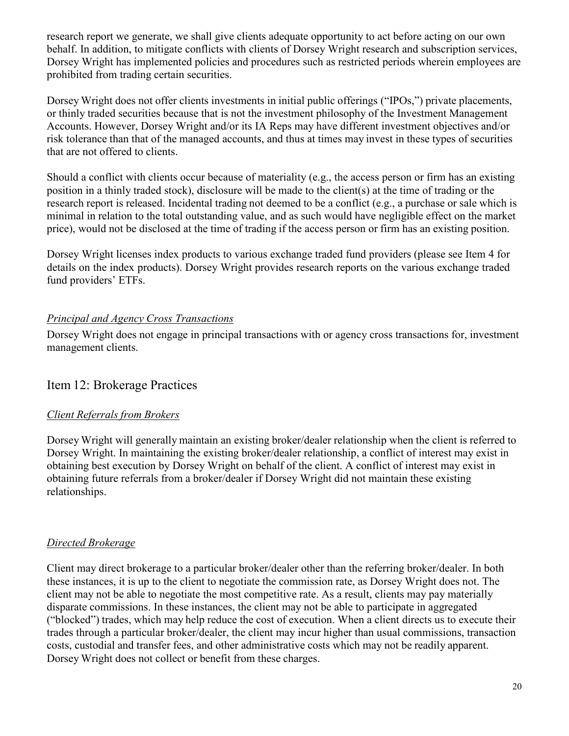research report we generate, we shall give clients adequate opportunity to act before acting on our own behalf. In addition, to mitigate conflicts with clients of Dorsey Wright research and subscription services, Dorsey Wright has implemented policies and procedures such as restricted periods wherein employees are prohibited from trading certain securities.

Dorsey Wright does not offer clients investments in initial public offerings ("IPOs,") private placements, or thinly traded securities because that is not the investment philosophy of the Investment Management Accounts. However, Dorsey Wright and/or its IA Reps may have different investment objectives and/or risk tolerance than that of the managed accounts, and thus at times may invest in these types of securities that are not offered to clients.

Should a conflict with clients occur because of materiality (e.g., the access person or firm has an existing position in a thinly traded stock), disclosure will be made to the client(s) at the time of trading or the research report is released. Incidental trading not deemed to be a conflict (e.g., a purchase or sale which is minimal in relation to the total outstanding value, and as such would have negligible effect on the market price), would not be disclosed at the time of trading if the access person or firm has an existing position.

Dorsey Wright licenses index products to various exchange traded fund providers (please see Item 4 for details on the index products). Dorsey Wright provides research reports on the various exchange traded fund providers' ETFs.

#### *Principal and Agency Cross Transactions*

Dorsey Wright does not engage in principal transactions with or agency cross transactions for, investment management clients.

#### <span id="page-19-0"></span>Item 12: Brokerage Practices

#### *Client Referrals from Brokers*

Dorsey Wright will generally maintain an existing broker/dealer relationship when the client is referred to Dorsey Wright. In maintaining the existing broker/dealer relationship, a conflict of interest may exist in obtaining best execution by Dorsey Wright on behalf of the client. A conflict of interest may exist in obtaining future referrals from a broker/dealer if Dorsey Wright did not maintain these existing relationships.

#### *Directed Brokerage*

Client may direct brokerage to a particular broker/dealer other than the referring broker/dealer. In both these instances, it is up to the client to negotiate the commission rate, as Dorsey Wright does not. The client may not be able to negotiate the most competitive rate. As a result, clients may pay materially disparate commissions. In these instances, the client may not be able to participate in aggregated ("blocked") trades, which may help reduce the cost of execution. When a client directs us to execute their trades through a particular broker/dealer, the client may incur higher than usual commissions, transaction costs, custodial and transfer fees, and other administrative costs which may not be readily apparent. Dorsey Wright does not collect or benefit from these charges.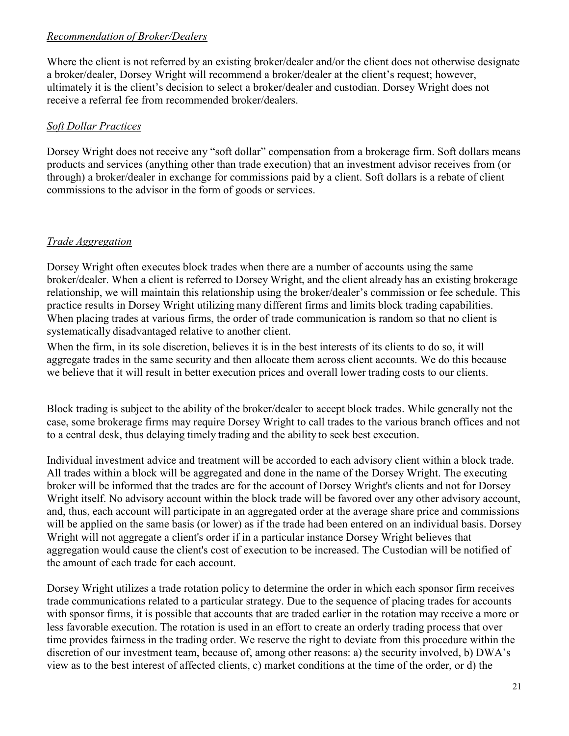#### *Recommendation of Broker/Dealers*

Where the client is not referred by an existing broker/dealer and/or the client does not otherwise designate a broker/dealer, Dorsey Wright will recommend a broker/dealer at the client's request; however, ultimately it is the client's decision to select a broker/dealer and custodian. Dorsey Wright does not receive a referral fee from recommended broker/dealers.

#### *Soft Dollar Practices*

Dorsey Wright does not receive any "soft dollar" compensation from a brokerage firm. Soft dollars means products and services (anything other than trade execution) that an investment advisor receives from (or through) a broker/dealer in exchange for commissions paid by a client. Soft dollars is a rebate of client commissions to the advisor in the form of goods or services.

#### *Trade Aggregation*

Dorsey Wright often executes block trades when there are a number of accounts using the same broker/dealer. When a client is referred to Dorsey Wright, and the client already has an existing brokerage relationship, we will maintain this relationship using the broker/dealer's commission or fee schedule. This practice results in Dorsey Wright utilizing many different firms and limits block trading capabilities. When placing trades at various firms, the order of trade communication is random so that no client is systematically disadvantaged relative to another client.

When the firm, in its sole discretion, believes it is in the best interests of its clients to do so, it will aggregate trades in the same security and then allocate them across client accounts. We do this because we believe that it will result in better execution prices and overall lower trading costs to our clients.

Block trading is subject to the ability of the broker/dealer to accept block trades. While generally not the case, some brokerage firms may require Dorsey Wright to call trades to the various branch offices and not to a central desk, thus delaying timely trading and the ability to seek best execution.

Individual investment advice and treatment will be accorded to each advisory client within a block trade. All trades within a block will be aggregated and done in the name of the Dorsey Wright. The executing broker will be informed that the trades are for the account of Dorsey Wright's clients and not for Dorsey Wright itself. No advisory account within the block trade will be favored over any other advisory account, and, thus, each account will participate in an aggregated order at the average share price and commissions will be applied on the same basis (or lower) as if the trade had been entered on an individual basis. Dorsey Wright will not aggregate a client's order if in a particular instance Dorsey Wright believes that aggregation would cause the client's cost of execution to be increased. The Custodian will be notified of the amount of each trade for each account.

Dorsey Wright utilizes a trade rotation policy to determine the order in which each sponsor firm receives trade communications related to a particular strategy. Due to the sequence of placing trades for accounts with sponsor firms, it is possible that accounts that are traded earlier in the rotation may receive a more or less favorable execution. The rotation is used in an effort to create an orderly trading process that over time provides fairness in the trading order. We reserve the right to deviate from this procedure within the discretion of our investment team, because of, among other reasons: a) the security involved, b) DWA's view as to the best interest of affected clients, c) market conditions at the time of the order, or d) the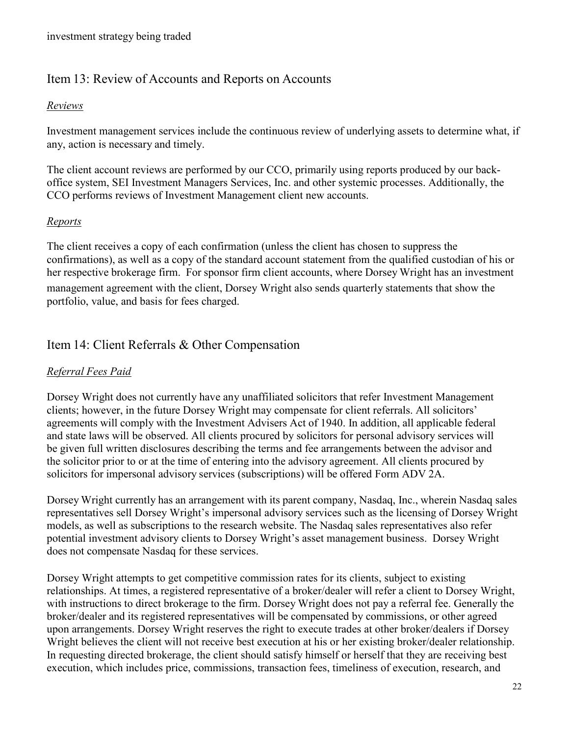## <span id="page-21-0"></span>Item 13: Review of Accounts and Reports on Accounts

#### *Reviews*

Investment management services include the continuous review of underlying assets to determine what, if any, action is necessary and timely.

The client account reviews are performed by our CCO, primarily using reports produced by our backoffice system, SEI Investment Managers Services, Inc. and other systemic processes. Additionally, the CCO performs reviews of Investment Management client new accounts.

#### *Reports*

The client receives a copy of each confirmation (unless the client has chosen to suppress the confirmations), as well as a copy of the standard account statement from the qualified custodian of his or her respective brokerage firm. For sponsor firm client accounts, where Dorsey Wright has an investment management agreement with the client, Dorsey Wright also sends quarterly statements that show the portfolio, value, and basis for fees charged.

## <span id="page-21-1"></span>Item 14: Client Referrals & Other Compensation

#### *Referral Fees Paid*

Dorsey Wright does not currently have any unaffiliated solicitors that refer Investment Management clients; however, in the future Dorsey Wright may compensate for client referrals. All solicitors' agreements will comply with the Investment Advisers Act of 1940. In addition, all applicable federal and state laws will be observed. All clients procured by solicitors for personal advisory services will be given full written disclosures describing the terms and fee arrangements between the advisor and the solicitor prior to or at the time of entering into the advisory agreement. All clients procured by solicitors for impersonal advisory services (subscriptions) will be offered Form ADV 2A.

Dorsey Wright currently has an arrangement with its parent company, Nasdaq, Inc., wherein Nasdaq sales representatives sell Dorsey Wright's impersonal advisory services such as the licensing of Dorsey Wright models, as well as subscriptions to the research website. The Nasdaq sales representatives also refer potential investment advisory clients to Dorsey Wright's asset management business. Dorsey Wright does not compensate Nasdaq for these services.

Dorsey Wright attempts to get competitive commission rates for its clients, subject to existing relationships. At times, a registered representative of a broker/dealer will refer a client to Dorsey Wright, with instructions to direct brokerage to the firm. Dorsey Wright does not pay a referral fee. Generally the broker/dealer and its registered representatives will be compensated by commissions, or other agreed upon arrangements. Dorsey Wright reserves the right to execute trades at other broker/dealers if Dorsey Wright believes the client will not receive best execution at his or her existing broker/dealer relationship. In requesting directed brokerage, the client should satisfy himself or herself that they are receiving best execution, which includes price, commissions, transaction fees, timeliness of execution, research, and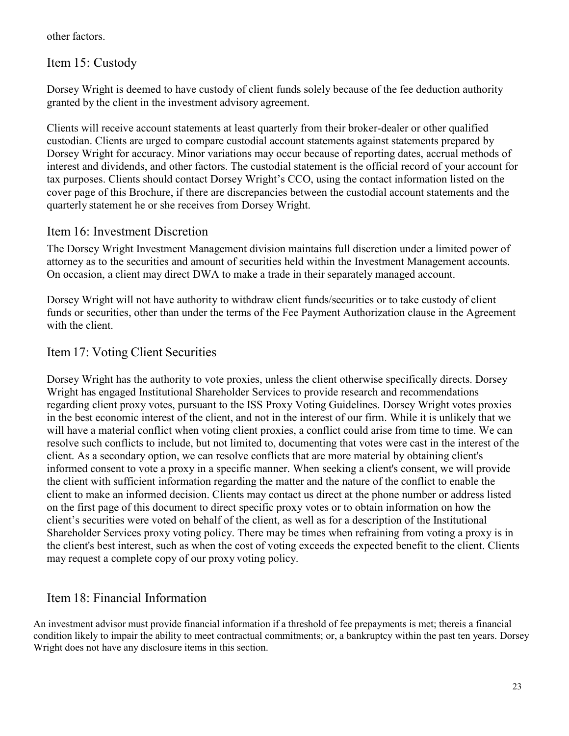other factors.

<span id="page-22-0"></span>Item 15: Custody

Dorsey Wright is deemed to have custody of client funds solely because of the fee deduction authority granted by the client in the investment advisory agreement.

Clients will receive account statements at least quarterly from their broker-dealer or other qualified custodian. Clients are urged to compare custodial account statements against statements prepared by Dorsey Wright for accuracy. Minor variations may occur because of reporting dates, accrual methods of interest and dividends, and other factors. The custodial statement is the official record of your account for tax purposes. Clients should contact Dorsey Wright's CCO, using the contact information listed on the cover page of this Brochure, if there are discrepancies between the custodial account statements and the quarterly statement he or she receives from Dorsey Wright.

## <span id="page-22-1"></span>Item 16: Investment Discretion

The Dorsey Wright Investment Management division maintains full discretion under a limited power of attorney as to the securities and amount of securities held within the Investment Management accounts. On occasion, a client may direct DWA to make a trade in their separately managed account.

Dorsey Wright will not have authority to withdraw client funds/securities or to take custody of client funds or securities, other than under the terms of the Fee Payment Authorization clause in the Agreement with the client.

## Item17: Voting Client Securities

Dorsey Wright has the authority to vote proxies, unless the client otherwise specifically directs. Dorsey Wright has engaged Institutional Shareholder Services to provide research and recommendations regarding client proxy votes, pursuant to the ISS Proxy Voting Guidelines. Dorsey Wright votes proxies in the best economic interest of the client, and not in the interest of our firm. While it is unlikely that we will have a material conflict when voting client proxies, a conflict could arise from time to time. We can resolve such conflicts to include, but not limited to, documenting that votes were cast in the interest of the client. As a secondary option, we can resolve conflicts that are more material by obtaining client's informed consent to vote a proxy in a specific manner. When seeking a client's consent, we will provide the client with sufficient information regarding the matter and the nature of the conflict to enable the client to make an informed decision. Clients may contact us direct at the phone number or address listed on the first page of this document to direct specific proxy votes or to obtain information on how the client's securities were voted on behalf of the client, as well as for a description of the Institutional Shareholder Services proxy voting policy. There may be times when refraining from voting a proxy is in the client's best interest, such as when the cost of voting exceeds the expected benefit to the client. Clients may request a complete copy of our proxy voting policy.

## <span id="page-22-2"></span>Item 18: Financial Information

An investment advisor must provide financial information if a threshold of fee prepayments is met; thereis a financial condition likely to impair the ability to meet contractual commitments; or, a bankruptcy within the past ten years. Dorsey Wright does not have any disclosure items in this section.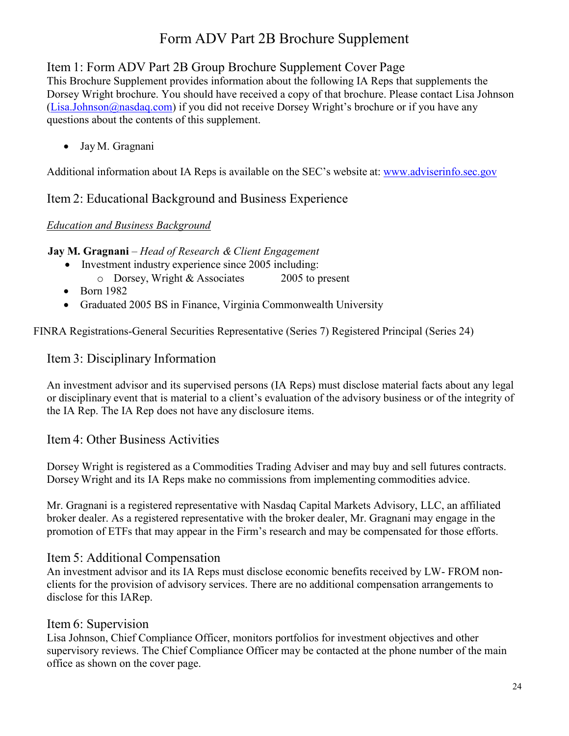## Item 1: Form ADV Part 2B Group Brochure Supplement Cover Page

This Brochure Supplement provides information about the following IA Reps that supplements the Dorsey Wright brochure. You should have received a copy of that brochure. Please contact Lisa Johnson (*Lisa.Johnson@nasdaq.com*) if you did not receive Dorsey Wright's brochure or if you have any questions about the contents of this supplement.

• Jay M. Gragnani

Additional information about IA Reps is available on the SEC's website at: [www.adviserinfo.sec.gov](http://www.adviserinfo.sec.gov/)

## Item 2: Educational Background and Business Experience

#### *Education and Business Background*

**Jay M. Gragnani** – *Head of Research & Client Engagement* 

- Investment industry experience since 2005 including:
	- o Dorsey, Wright & Associates 2005 to present
- Born 1982
- Graduated 2005 BS in Finance, Virginia Commonwealth University

FINRA Registrations-General Securities Representative (Series 7) Registered Principal (Series 24)

## Item 3: Disciplinary Information

An investment advisor and its supervised persons (IA Reps) must disclose material facts about any legal or disciplinary event that is material to a client's evaluation of the advisory business or of the integrity of the IA Rep. The IA Rep does not have any disclosure items.

#### Item 4: Other Business Activities

Dorsey Wright is registered as a Commodities Trading Adviser and may buy and sell futures contracts. Dorsey Wright and its IA Reps make no commissions from implementing commodities advice.

Mr. Gragnani is a registered representative with Nasdaq Capital Markets Advisory, LLC, an affiliated broker dealer. As a registered representative with the broker dealer, Mr. Gragnani may engage in the promotion of ETFs that may appear in the Firm's research and may be compensated for those efforts.

## Item 5: Additional Compensation

An investment advisor and its IA Reps must disclose economic benefits received by LW- FROM nonclients for the provision of advisory services. There are no additional compensation arrangements to disclose for this IARep.

#### Item 6: Supervision

Lisa Johnson, Chief Compliance Officer, monitors portfolios for investment objectives and other supervisory reviews. The Chief Compliance Officer may be contacted at the phone number of the main office as shown on the cover page.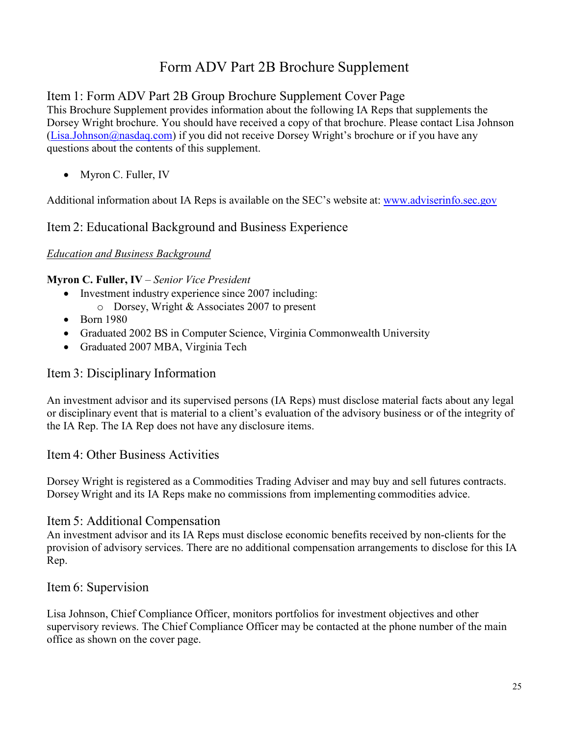## Item 1: Form ADV Part 2B Group Brochure Supplement Cover Page

This Brochure Supplement provides information about the following IA Reps that supplements the Dorsey Wright brochure. You should have received a copy of that brochure. Please contact Lisa Johnson [\(Lisa.Johnson@nasdaq.com\)](mailto:sara@dorseywright.com) if you did not receive Dorsey Wright's brochure or if you have any questions about the contents of this supplement.

• Myron C. Fuller, IV

Additional information about IA Reps is available on the SEC's website at: [www.adviserinfo.sec.gov](http://www.adviserinfo.sec.gov/)

## Item 2: Educational Background and Business Experience

#### *Education and Business Background*

#### **Myron C. Fuller, IV** – *Senior Vice President*

- Investment industry experience since 2007 including: o Dorsey, Wright & Associates 2007 to present
- Born 1980
- Graduated 2002 BS in Computer Science, Virginia Commonwealth University
- Graduated 2007 MBA, Virginia Tech

## Item 3: Disciplinary Information

An investment advisor and its supervised persons (IA Reps) must disclose material facts about any legal or disciplinary event that is material to a client's evaluation of the advisory business or of the integrity of the IA Rep. The IA Rep does not have any disclosure items.

#### Item 4: Other Business Activities

Dorsey Wright is registered as a Commodities Trading Adviser and may buy and sell futures contracts. Dorsey Wright and its IA Reps make no commissions from implementing commodities advice.

#### Item 5: Additional Compensation

An investment advisor and its IA Reps must disclose economic benefits received by non-clients for the provision of advisory services. There are no additional compensation arrangements to disclose for this IA Rep.

#### Item 6: Supervision

Lisa Johnson, Chief Compliance Officer, monitors portfolios for investment objectives and other supervisory reviews. The Chief Compliance Officer may be contacted at the phone number of the main office as shown on the cover page.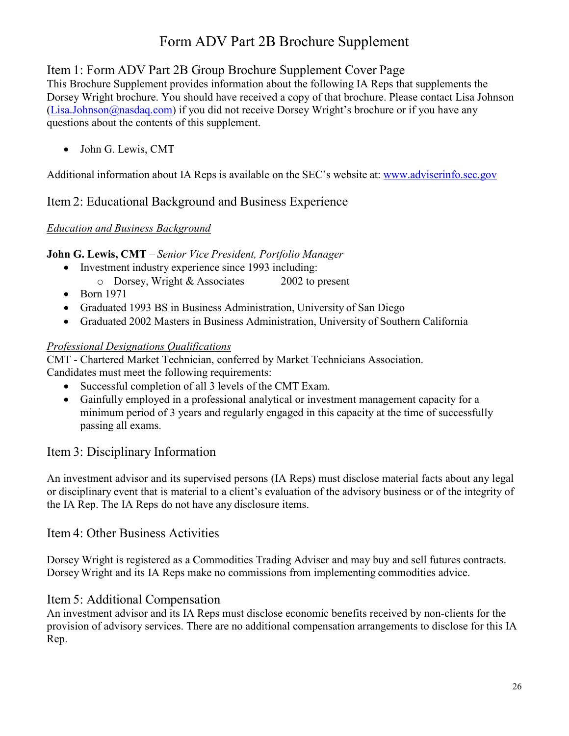## Item 1: Form ADV Part 2B Group Brochure Supplement Cover Page

This Brochure Supplement provides information about the following IA Reps that supplements the Dorsey Wright brochure. You should have received a copy of that brochure. Please contact Lisa Johnson [\(Lisa.Johnson@nasdaq.com\)](mailto:sara@dorseywright.com) if you did not receive Dorsey Wright's brochure or if you have any questions about the contents of this supplement.

• John G. Lewis, CMT

Additional information about IA Reps is available on the SEC's website at: [www.adviserinfo.sec.gov](http://www.adviserinfo.sec.gov/)

## Item 2: Educational Background and Business Experience

## *Education and Business Background*

**John G. Lewis, CMT** – *Senior Vice President, Portfolio Manager* 

- Investment industry experience since 1993 including:
	- o Dorsey, Wright & Associates 2002 to present
- Born 1971
- Graduated 1993 BS in Business Administration, University of San Diego
- Graduated 2002 Masters in Business Administration, University of Southern California

## *Professional Designations Qualifications*

CMT - Chartered Market Technician, conferred by Market Technicians Association. Candidates must meet the following requirements:

- Successful completion of all 3 levels of the CMT Exam.
- Gainfully employed in a professional analytical or investment management capacity for a minimum period of 3 years and regularly engaged in this capacity at the time of successfully passing all exams.

## Item 3: Disciplinary Information

An investment advisor and its supervised persons (IA Reps) must disclose material facts about any legal or disciplinary event that is material to a client's evaluation of the advisory business or of the integrity of the IA Rep. The IA Reps do not have any disclosure items.

## Item 4: Other Business Activities

Dorsey Wright is registered as a Commodities Trading Adviser and may buy and sell futures contracts. Dorsey Wright and its IA Reps make no commissions from implementing commodities advice.

## Item 5: Additional Compensation

An investment advisor and its IA Reps must disclose economic benefits received by non-clients for the provision of advisory services. There are no additional compensation arrangements to disclose for this IA Rep.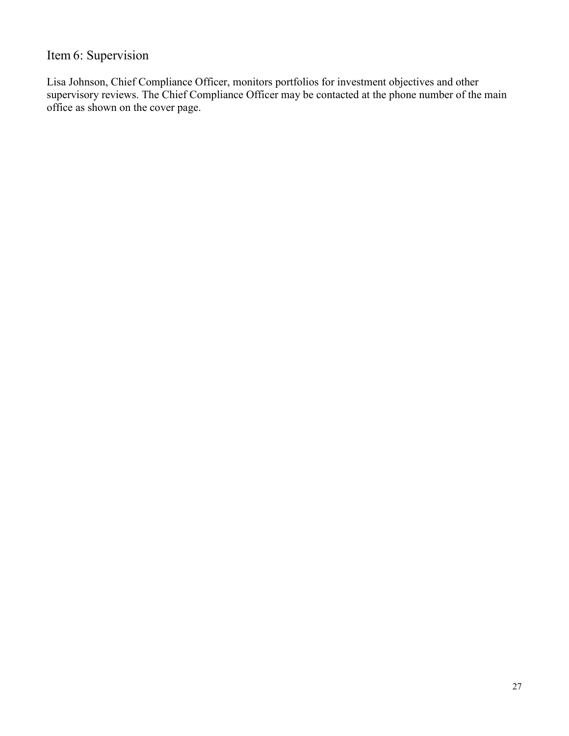# Item 6: Supervision

Lisa Johnson, Chief Compliance Officer, monitors portfolios for investment objectives and other supervisory reviews. The Chief Compliance Officer may be contacted at the phone number of the main office as shown on the cover page.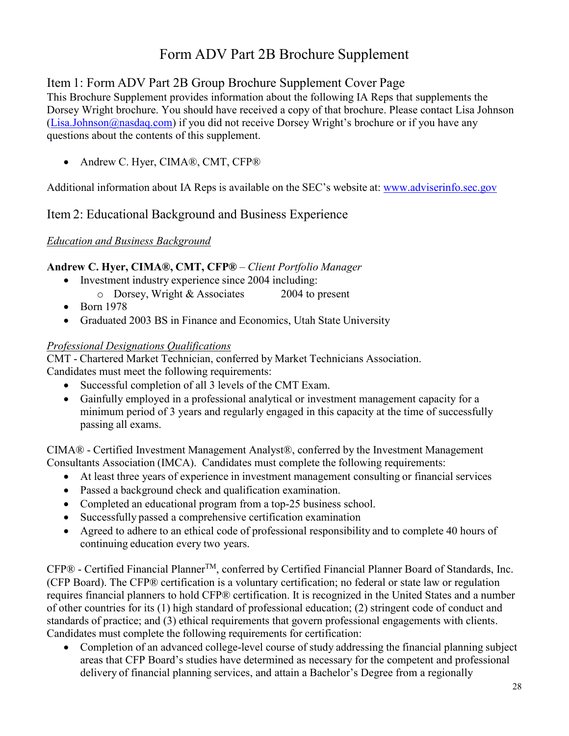## Item 1: Form ADV Part 2B Group Brochure Supplement Cover Page

This Brochure Supplement provides information about the following IA Reps that supplements the Dorsey Wright brochure. You should have received a copy of that brochure. Please contact Lisa Johnson [\(Lisa.Johnson@nasdaq.com\)](mailto:sara@dorseywright.com) if you did not receive Dorsey Wright's brochure or if you have any questions about the contents of this supplement.

• Andrew C. Hyer, CIMA®, CMT, CFP®

Additional information about IA Reps is available on the SEC's website at: [www.adviserinfo.sec.gov](http://www.adviserinfo.sec.gov/)

## Item 2: Educational Background and Business Experience

#### *Education and Business Background*

#### **Andrew C. Hyer, CIMA®, CMT, CFP®** – *Client Portfolio Manager*

- Investment industry experience since 2004 including: o Dorsey, Wright & Associates 2004 to present
- Born 1978
- Graduated 2003 BS in Finance and Economics, Utah State University

#### *Professional Designations Qualifications*

CMT - Chartered Market Technician, conferred by Market Technicians Association. Candidates must meet the following requirements:

- Successful completion of all 3 levels of the CMT Exam.
- Gainfully employed in a professional analytical or investment management capacity for a minimum period of 3 years and regularly engaged in this capacity at the time of successfully passing all exams.

CIMA® - Certified Investment Management Analyst®, conferred by the Investment Management Consultants Association (IMCA). Candidates must complete the following requirements:

- At least three years of experience in investment management consulting or financial services
- Passed a background check and qualification examination.
- Completed an educational program from a top-25 business school.
- Successfully passed a comprehensive certification examination
- Agreed to adhere to an ethical code of professional responsibility and to complete 40 hours of continuing education every two years.

CFP® - Certified Financial Planner™, conferred by Certified Financial Planner Board of Standards, Inc. (CFP Board). The CFP® certification is a voluntary certification; no federal or state law or regulation requires financial planners to hold CFP® certification. It is recognized in the United States and a number of other countries for its (1) high standard of professional education; (2) stringent code of conduct and standards of practice; and (3) ethical requirements that govern professional engagements with clients. Candidates must complete the following requirements for certification:

• Completion of an advanced college-level course of study addressing the financial planning subject areas that CFP Board's studies have determined as necessary for the competent and professional delivery of financial planning services, and attain a Bachelor's Degree from a regionally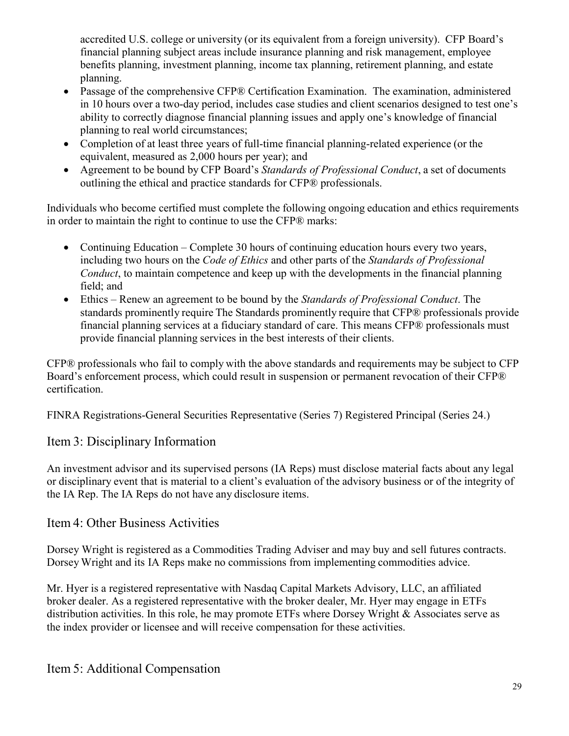accredited U.S. college or university (or its equivalent from a foreign university). CFP Board's financial planning subject areas include insurance planning and risk management, employee benefits planning, investment planning, income tax planning, retirement planning, and estate planning.

- Passage of the comprehensive CFP® Certification Examination. The examination, administered in 10 hours over a two-day period, includes case studies and client scenarios designed to test one's ability to correctly diagnose financial planning issues and apply one's knowledge of financial planning to real world circumstances;
- Completion of at least three years of full-time financial planning-related experience (or the equivalent, measured as 2,000 hours per year); and
- Agreement to be bound by CFP Board's *Standards of Professional Conduct*, a set of documents outlining the ethical and practice standards for CFP® professionals.

Individuals who become certified must complete the following ongoing education and ethics requirements in order to maintain the right to continue to use the CFP® marks:

- Continuing Education Complete 30 hours of continuing education hours every two years, including two hours on the *Code of Ethics* and other parts of the *Standards of Professional Conduct*, to maintain competence and keep up with the developments in the financial planning field; and
- Ethics Renew an agreement to be bound by the *Standards of Professional Conduct*. The standards prominently require The Standards prominently require that CFP® professionals provide financial planning services at a fiduciary standard of care. This means CFP® professionals must provide financial planning services in the best interests of their clients.

CFP® professionals who fail to comply with the above standards and requirements may be subject to CFP Board's enforcement process, which could result in suspension or permanent revocation of their CFP® certification.

FINRA Registrations-General Securities Representative (Series 7) Registered Principal (Series 24.)

## Item 3: Disciplinary Information

An investment advisor and its supervised persons (IA Reps) must disclose material facts about any legal or disciplinary event that is material to a client's evaluation of the advisory business or of the integrity of the IA Rep. The IA Reps do not have any disclosure items.

## Item 4: Other Business Activities

Dorsey Wright is registered as a Commodities Trading Adviser and may buy and sell futures contracts. Dorsey Wright and its IA Reps make no commissions from implementing commodities advice.

Mr. Hyer is a registered representative with Nasdaq Capital Markets Advisory, LLC, an affiliated broker dealer. As a registered representative with the broker dealer, Mr. Hyer may engage in ETFs distribution activities. In this role, he may promote ETFs where Dorsey Wright & Associates serve as the index provider or licensee and will receive compensation for these activities.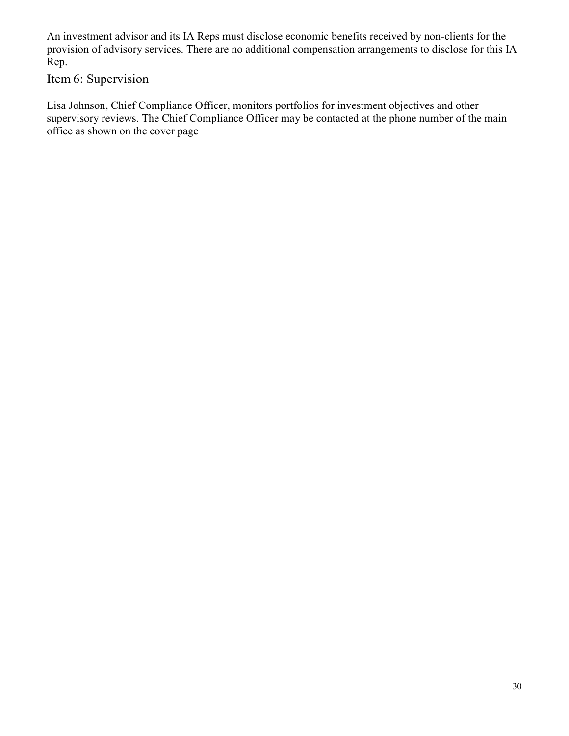An investment advisor and its IA Reps must disclose economic benefits received by non-clients for the provision of advisory services. There are no additional compensation arrangements to disclose for this IA Rep.

Item 6: Supervision

Lisa Johnson, Chief Compliance Officer, monitors portfolios for investment objectives and other supervisory reviews. The Chief Compliance Officer may be contacted at the phone number of the main office as shown on the cover page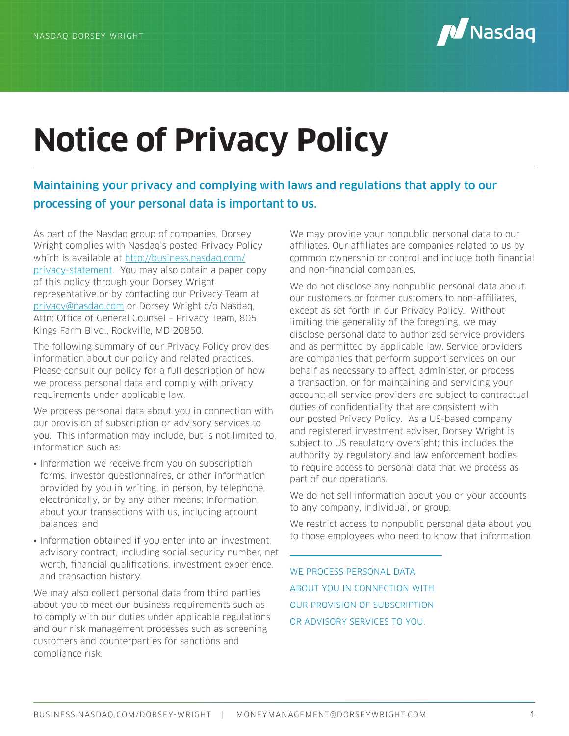

# **Notice of Privacy Policy**

## Maintaining your privacy and complying with laws and regulations that apply to our processing of your personal data is important to us.

As part of the Nasdaq group of companies, Dorsey Wright complies with Nasdaq's posted Privacy Policy which is available at http://business.nasdaq.com/ privacy-statement. You may also obtain a paper copy of this policy through your Dorsey Wright representative or by contacting our Privacy Team at privacy@nasdaq.com or Dorsey Wright c/o Nasdaq, Attn: Office of General Counsel – Privacy Team, 805 Kings Farm Blvd., Rockville, MD 20850.

The following summary of our Privacy Policy provides information about our policy and related practices. Please consult our policy for a full description of how we process personal data and comply with privacy requirements under applicable law.

We process personal data about you in connection with our provision of subscription or advisory services to you. This information may include, but is not limited to, information such as:

- Information we receive from you on subscription forms, investor questionnaires, or other information provided by you in writing, in person, by telephone, electronically, or by any other means; Information about your transactions with us, including account balances; and
- Information obtained if you enter into an investment advisory contract, including social security number, net worth, financial qualifications, investment experience, and transaction history.

We may also collect personal data from third parties about you to meet our business requirements such as to comply with our duties under applicable regulations and our risk management processes such as screening customers and counterparties for sanctions and compliance risk.

We may provide your nonpublic personal data to our affiliates. Our affiliates are companies related to us by common ownership or control and include both financial and non-financial companies.

We do not disclose any nonpublic personal data about our customers or former customers to non-affiliates, except as set forth in our Privacy Policy. Without limiting the generality of the foregoing, we may disclose personal data to authorized service providers and as permitted by applicable law. Service providers are companies that perform support services on our behalf as necessary to affect, administer, or process a transaction, or for maintaining and servicing your account; all service providers are subject to contractual duties of confidentiality that are consistent with our posted Privacy Policy. As a US-based company and registered investment adviser, Dorsey Wright is subject to US regulatory oversight; this includes the authority by regulatory and law enforcement bodies to require access to personal data that we process as part of our operations.

We do not sell information about you or your accounts to any company, individual, or group.

We restrict access to nonpublic personal data about you to those employees who need to know that information

WE PROCESS PERSONAL DATA ABOUT YOU IN CONNECTION WITH OUR PROVISION OF SUBSCRIPTION OR ADVISORY SERVICES TO YOU.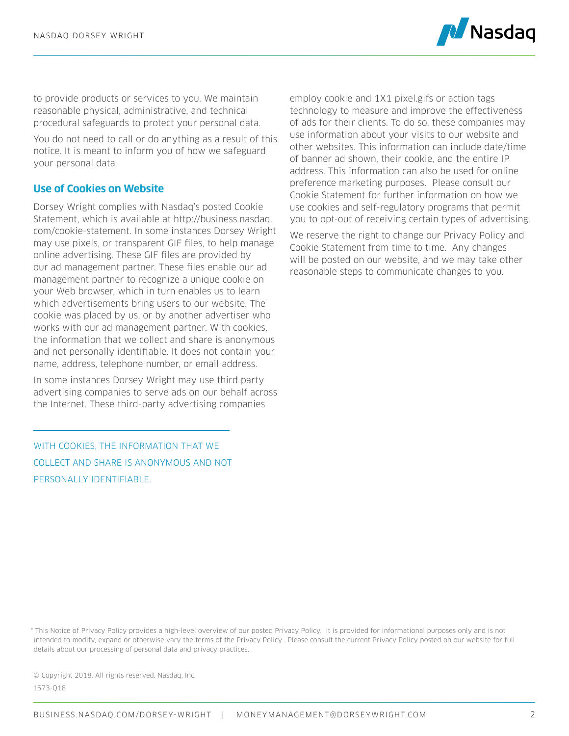

to provide products or services to you. We maintain reasonable physical, administrative, and technical procedural safeguards to protect your personal data.

You do not need to call or do anything as a result of this notice. It is meant to inform you of how we safeguard your personal data.

#### **Use of Cookies on Website**

Dorsey Wright complies with Nasdaq's posted Cookie Statement, which is available at http://business.nasdaq. com/cookie-statement. In some instances Dorsey Wright may use pixels, or transparent GIF files, to help manage online advertising. These GIF files are provided by our ad management partner. These files enable our ad management partner to recognize a unique cookie on your Web browser, which in turn enables us to learn which advertisements bring users to our website. The cookie was placed by us, or by another advertiser who works with our ad management partner. With cookies, the information that we collect and share is anonymous and not personally identifiable. It does not contain your name, address, telephone number, or email address.

In some instances Dorsey Wright may use third party advertising companies to serve ads on our behalf across the Internet. These third-party advertising companies

WITH COOKIES, THE INFORMATION THAT WE COLLECT AND SHARE IS ANONYMOUS AND NOT PERSONALLY IDENTIFIABLE.

employ cookie and 1X1 pixel.gifs or action tags technology to measure and improve the effectiveness of ads for their clients. To do so, these companies may use information about your visits to our website and other websites. This information can include date/time of banner ad shown, their cookie, and the entire IP address. This information can also be used for online preference marketing purposes. Please consult our Cookie Statement for further information on how we use cookies and self-regulatory programs that permit you to opt-out of receiving certain types of advertising.

We reserve the right to change our Privacy Policy and Cookie Statement from time to time. Any changes will be posted on our website, and we may take other reasonable steps to communicate changes to you.

© Copyright 2018. All rights reserved. Nasdaq, Inc. 1573-Q18

<sup>\*</sup> This Notice of Privacy Policy provides a high-level overview of our posted Privacy Policy. It is provided for informational purposes only and is not intended to modify, expand or otherwise vary the terms of the Privacy Policy. Please consult the current Privacy Policy posted on our website for full details about our processing of personal data and privacy practices.